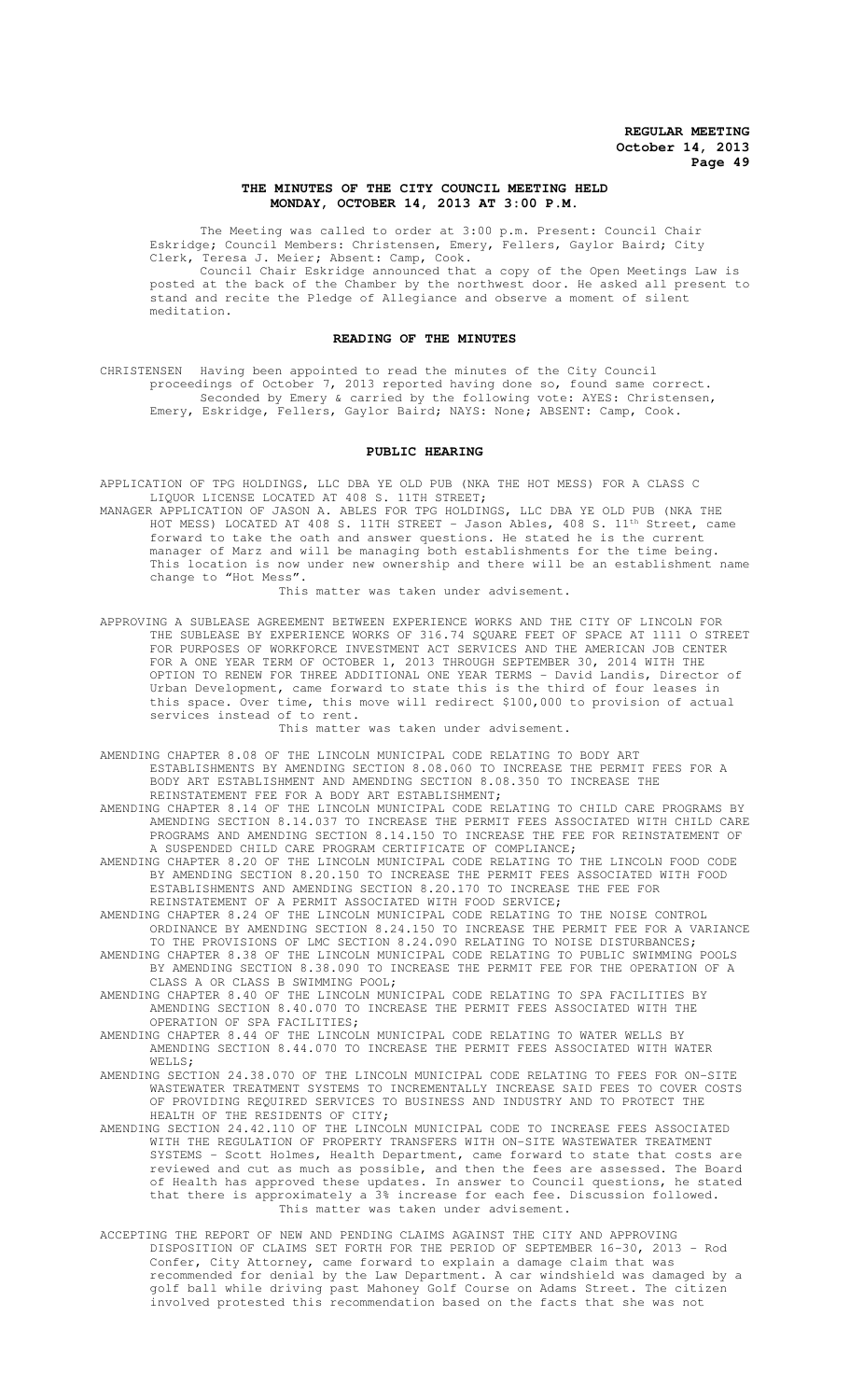## **THE MINUTES OF THE CITY COUNCIL MEETING HELD MONDAY, OCTOBER 14, 2013 AT 3:00 P.M.**

The Meeting was called to order at 3:00 p.m. Present: Council Chair Eskridge; Council Members: Christensen, Emery, Fellers, Gaylor Baird; City Clerk, Teresa J. Meier; Absent: Camp, Cook.

Council Chair Eskridge announced that a copy of the Open Meetings Law is posted at the back of the Chamber by the northwest door. He asked all present to stand and recite the Pledge of Allegiance and observe a moment of silent meditation.

#### **READING OF THE MINUTES**

CHRISTENSEN Having been appointed to read the minutes of the City Council proceedings of October 7, 2013 reported having done so, found same correct. Seconded by Emery & carried by the following vote: AYES: Christensen, Emery, Eskridge, Fellers, Gaylor Baird; NAYS: None; ABSENT: Camp, Cook.

#### **PUBLIC HEARING**

APPLICATION OF TPG HOLDINGS, LLC DBA YE OLD PUB (NKA THE HOT MESS) FOR A CLASS C LIQUOR LICENSE LOCATED AT 408 S. 11TH STREET;

MANAGER APPLICATION OF JASON A. ABLES FOR TPG HOLDINGS, LLC DBA YE OLD PUB (NKA THE HOT MESS) LOCATED AT 408 S. 11TH STREET - Jason Ables, 408 S.  $11^{\text{th}}$  Street, came forward to take the oath and answer questions. He stated he is the current manager of Marz and will be managing both establishments for the time being. This location is now under new ownership and there will be an establishment name change to "Hot Mess".

This matter was taken under advisement.

APPROVING A SUBLEASE AGREEMENT BETWEEN EXPERIENCE WORKS AND THE CITY OF LINCOLN FOR THE SUBLEASE BY EXPERIENCE WORKS OF 316.74 SQUARE FEET OF SPACE AT 1111 O STREET FOR PURPOSES OF WORKFORCE INVESTMENT ACT SERVICES AND THE AMERICAN JOB CENTER FOR A ONE YEAR TERM OF OCTOBER 1, 2013 THROUGH SEPTEMBER 30, 2014 WITH THE OPTION TO RENEW FOR THREE ADDITIONAL ONE YEAR TERMS - David Landis, Director of Urban Development, came forward to state this is the third of four leases in this space. Over time, this move will redirect \$100,000 to provision of actual services instead of to rent.

This matter was taken under advisement.

AMENDING CHAPTER 8.08 OF THE LINCOLN MUNICIPAL CODE RELATING TO BODY ART ESTABLISHMENTS BY AMENDING SECTION 8.08.060 TO INCREASE THE PERMIT FEES FOR A BODY ART ESTABLISHMENT AND AMENDING SECTION 8.08.350 TO INCREASE THE REINSTATEMENT FEE FOR A BODY ART ESTABLISHMENT;

AMENDING CHAPTER 8.14 OF THE LINCOLN MUNICIPAL CODE RELATING TO CHILD CARE PROGRAMS BY AMENDING SECTION 8.14.037 TO INCREASE THE PERMIT FEES ASSOCIATED WITH CHILD CARE PROGRAMS AND AMENDING SECTION 8.14.150 TO INCREASE THE FEE FOR REINSTATEMENT OF A SUSPENDED CHILD CARE PROGRAM CERTIFICATE OF COMPLIANCE;

AMENDING CHAPTER 8.20 OF THE LINCOLN MUNICIPAL CODE RELATING TO THE LINCOLN FOOD CODE BY AMENDING SECTION 8.20.150 TO INCREASE THE PERMIT FEES ASSOCIATED WITH FOOD ESTABLISHMENTS AND AMENDING SECTION 8.20.170 TO INCREASE THE FEE FOR REINSTATEMENT OF A PERMIT ASSOCIATED WITH FOOD SERVICE;

AMENDING CHAPTER 8.24 OF THE LINCOLN MUNICIPAL CODE RELATING TO THE NOISE CONTROL ORDINANCE BY AMENDING SECTION 8.24.150 TO INCREASE THE PERMIT FEE FOR A VARIANCE TO THE PROVISIONS OF LMC SECTION 8.24.090 RELATING TO NOISE DISTURBANCES;

AMENDING CHAPTER 8.38 OF THE LINCOLN MUNICIPAL CODE RELATING TO PUBLIC SWIMMING POOLS BY AMENDING SECTION 8.38.090 TO INCREASE THE PERMIT FEE FOR THE OPERATION OF A CLASS A OR CLASS B SWIMMING POOL;

AMENDING CHAPTER 8.40 OF THE LINCOLN MUNICIPAL CODE RELATING TO SPA FACILITIES BY AMENDING SECTION 8.40.070 TO INCREASE THE PERMIT FEES ASSOCIATED WITH THE OPERATION OF SPA FACILITIES;

AMENDING CHAPTER 8.44 OF THE LINCOLN MUNICIPAL CODE RELATING TO WATER WELLS BY AMENDING SECTION 8.44.070 TO INCREASE THE PERMIT FEES ASSOCIATED WITH WATER WELLS;

AMENDING SECTION 24.38.070 OF THE LINCOLN MUNICIPAL CODE RELATING TO FEES FOR ON-SITE WASTEWATER TREATMENT SYSTEMS TO INCREMENTALLY INCREASE SAID FEES TO COVER COSTS OF PROVIDING REQUIRED SERVICES TO BUSINESS AND INDUSTRY AND TO PROTECT THE HEALTH OF THE RESIDENTS OF CITY;

AMENDING SECTION 24.42.110 OF THE LINCOLN MUNICIPAL CODE TO INCREASE FEES ASSOCIATED WITH THE REGULATION OF PROPERTY TRANSFERS WITH ON-SITE WASTEWATER TREATMENT SYSTEMS - Scott Holmes, Health Department, came forward to state that costs are reviewed and cut as much as possible, and then the fees are assessed. The Board of Health has approved these updates. In answer to Council questions, he stated that there is approximately a 3% increase for each fee. Discussion followed. This matter was taken under advisement.

ACCEPTING THE REPORT OF NEW AND PENDING CLAIMS AGAINST THE CITY AND APPROVING DISPOSITION OF CLAIMS SET FORTH FOR THE PERIOD OF SEPTEMBER 16-30, 2013 - Rod Confer, City Attorney, came forward to explain a damage claim that was recommended for denial by the Law Department. A car windshield was damaged by a golf ball while driving past Mahoney Golf Course on Adams Street. The citizen involved protested this recommendation based on the facts that she was not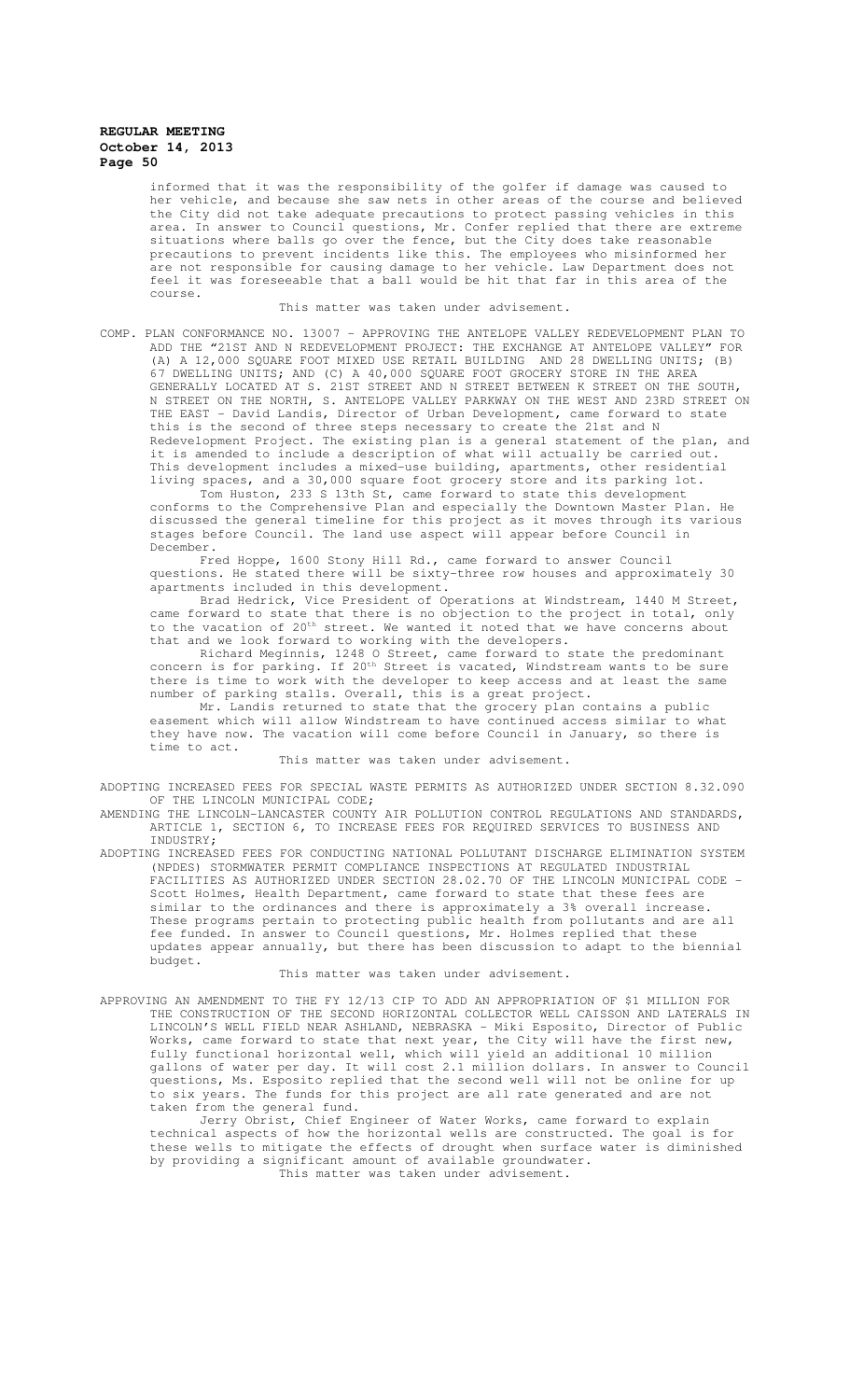informed that it was the responsibility of the golfer if damage was caused to her vehicle, and because she saw nets in other areas of the course and believed the City did not take adequate precautions to protect passing vehicles in this area. In answer to Council questions, Mr. Confer replied that there are extreme situations where balls go over the fence, but the City does take reasonable precautions to prevent incidents like this. The employees who misinformed her are not responsible for causing damage to her vehicle. Law Department does not feel it was foreseeable that a ball would be hit that far in this area of the course.

#### This matter was taken under advisement.

COMP. PLAN CONFORMANCE NO. 13007 – APPROVING THE ANTELOPE VALLEY REDEVELOPMENT PLAN TO ADD THE "21ST AND N REDEVELOPMENT PROJECT: THE EXCHANGE AT ANTELOPE VALLEY" FOR (A) A 12,000 SQUARE FOOT MIXED USE RETAIL BUILDING AND 28 DWELLING UNITS; (B) 67 DWELLING UNITS; AND (C) A 40,000 SQUARE FOOT GROCERY STORE IN THE AREA GENERALLY LOCATED AT S. 21ST STREET AND N STREET BETWEEN K STREET ON THE SOUTH, N STREET ON THE NORTH, S. ANTELOPE VALLEY PARKWAY ON THE WEST AND 23RD STREET ON THE EAST - David Landis, Director of Urban Development, came forward to state this is the second of three steps necessary to create the 21st and N Redevelopment Project. The existing plan is a general statement of the plan, and it is amended to include a description of what will actually be carried out. This development includes a mixed-use building, apartments, other residential living spaces, and a 30,000 square foot grocery store and its parking lot.

Tom Huston, 233 S 13th St, came forward to state this development conforms to the Comprehensive Plan and especially the Downtown Master Plan. He discussed the general timeline for this project as it moves through its various stages before Council. The land use aspect will appear before Council in December.

Fred Hoppe, 1600 Stony Hill Rd., came forward to answer Council questions. He stated there will be sixty-three row houses and approximately 30 apartments included in this development.

Brad Hedrick, Vice President of Operations at Windstream, 1440 M Street, came forward to state that there is no objection to the project in total, only to the vacation of 20<sup>th</sup> street. We wanted it noted that we have concerns about that and we look forward to working with the developers.

Richard Meginnis, 1248 O Street, came forward to state the predominant concern is for parking. If 20<sup>th</sup> Street is vacated, Windstream wants to be sure there is time to work with the developer to keep access and at least the same number of parking stalls. Overall, this is a great project.

Mr. Landis returned to state that the grocery plan contains a public easement which will allow Windstream to have continued access similar to what they have now. The vacation will come before Council in January, so there is time to act.

This matter was taken under advisement.

ADOPTING INCREASED FEES FOR SPECIAL WASTE PERMITS AS AUTHORIZED UNDER SECTION 8.32.090 OF THE LINCOLN MUNICIPAL CODE;

AMENDING THE LINCOLN-LANCASTER COUNTY AIR POLLUTION CONTROL REGULATIONS AND STANDARDS, ARTICLE 1, SECTION 6, TO INCREASE FEES FOR REQUIRED SERVICES TO BUSINESS AND INDUSTRY;

ADOPTING INCREASED FEES FOR CONDUCTING NATIONAL POLLUTANT DISCHARGE ELIMINATION SYSTEM (NPDES) STORMWATER PERMIT COMPLIANCE INSPECTIONS AT REGULATED INDUSTRIAL FACILITIES AS AUTHORIZED UNDER SECTION 28.02.70 OF THE LINCOLN MUNICIPAL CODE - Scott Holmes, Health Department, came forward to state that these fees are similar to the ordinances and there is approximately a 3% overall increase. These programs pertain to protecting public health from pollutants and are all fee funded. In answer to Council questions, Mr. Holmes replied that these updates appear annually, but there has been discussion to adapt to the biennial budget.

This matter was taken under advisement.

APPROVING AN AMENDMENT TO THE FY 12/13 CIP TO ADD AN APPROPRIATION OF \$1 MILLION FOR THE CONSTRUCTION OF THE SECOND HORIZONTAL COLLECTOR WELL CAISSON AND LATERALS IN LINCOLN'S WELL FIELD NEAR ASHLAND, NEBRASKA - Miki Esposito, Director of Public Works, came forward to state that next year, the City will have the first new, fully functional horizontal well, which will yield an additional 10 million gallons of water per day. It will cost 2.1 million dollars. In answer to Council questions, Ms. Esposito replied that the second well will not be online for up to six years. The funds for this project are all rate generated and are not taken from the general fund.

Jerry Obrist, Chief Engineer of Water Works, came forward to explain technical aspects of how the horizontal wells are constructed. The goal is for these wells to mitigate the effects of drought when surface water is diminished by providing a significant amount of available groundwater. This matter was taken under advisement.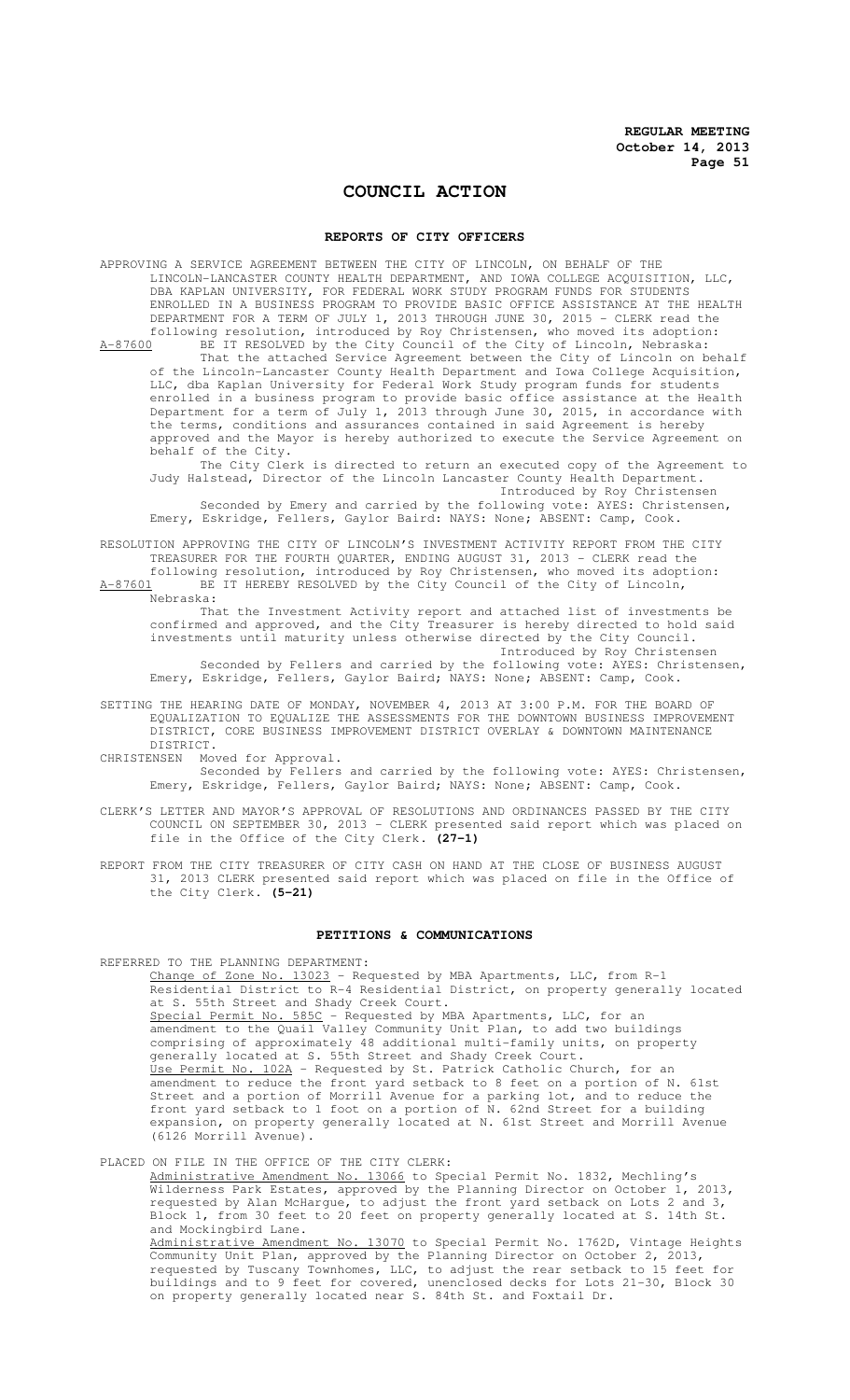# **COUNCIL ACTION**

#### **REPORTS OF CITY OFFICERS**

APPROVING A SERVICE AGREEMENT BETWEEN THE CITY OF LINCOLN, ON BEHALF OF THE LINCOLN-LANCASTER COUNTY HEALTH DEPARTMENT, AND IOWA COLLEGE ACQUISITION, LLC, DBA KAPLAN UNIVERSITY, FOR FEDERAL WORK STUDY PROGRAM FUNDS FOR STUDENTS ENROLLED IN A BUSINESS PROGRAM TO PROVIDE BASIC OFFICE ASSISTANCE AT THE HEALTH DEPARTMENT FOR A TERM OF JULY 1, 2013 THROUGH JUNE 30, 2015 - CLERK read the following resolution, introduced by Roy Christensen, who moved its adoption:<br>A-87600 BE IT RESOLVED by the City Council of the City of Lincoln, Nebraska: BE IT RESOLVED by the City Council of the City of Lincoln, Nebraska: That the attached Service Agreement between the City of Lincoln on behalf of the Lincoln-Lancaster County Health Department and Iowa College Acquisition, LLC, dba Kaplan University for Federal Work Study program funds for students enrolled in a business program to provide basic office assistance at the Health Department for a term of July 1, 2013 through June 30, 2015, in accordance with the terms, conditions and assurances contained in said Agreement is hereby approved and the Mayor is hereby authorized to execute the Service Agreement on behalf of the City. The City Clerk is directed to return an executed copy of the Agreement to Judy Halstead, Director of the Lincoln Lancaster County Health Department. Introduced by Roy Christensen Seconded by Emery and carried by the following vote: AYES: Christensen, Emery, Eskridge, Fellers, Gaylor Baird: NAYS: None; ABSENT: Camp, Cook. RESOLUTION APPROVING THE CITY OF LINCOLN'S INVESTMENT ACTIVITY REPORT FROM THE CITY TREASURER FOR THE FOURTH QUARTER, ENDING AUGUST 31, 2013 - CLERK read the

following resolution, introduced by Roy Christensen, who moved its adoption: A-87601 BE IT HEREBY RESOLVED by the City Council of the City of Lincoln,  $\frac{\texttt{A}-87601}{\texttt{Nebraska:}}$ 

That the Investment Activity report and attached list of investments be confirmed and approved, and the City Treasurer is hereby directed to hold said investments until maturity unless otherwise directed by the City Council. Introduced by Roy Christensen

Seconded by Fellers and carried by the following vote: AYES: Christensen, Emery, Eskridge, Fellers, Gaylor Baird; NAYS: None; ABSENT: Camp, Cook.

- SETTING THE HEARING DATE OF MONDAY, NOVEMBER 4, 2013 AT 3:00 P.M. FOR THE BOARD OF EQUALIZATION TO EQUALIZE THE ASSESSMENTS FOR THE DOWNTOWN BUSINESS IMPROVEMENT DISTRICT, CORE BUSINESS IMPROVEMENT DISTRICT OVERLAY & DOWNTOWN MAINTENANCE DISTRICT.
- CHRISTENSEN Moved for Approval.

Seconded by Fellers and carried by the following vote: AYES: Christensen, Emery, Eskridge, Fellers, Gaylor Baird; NAYS: None; ABSENT: Camp, Cook.

- CLERK'S LETTER AND MAYOR'S APPROVAL OF RESOLUTIONS AND ORDINANCES PASSED BY THE CITY COUNCIL ON SEPTEMBER 30, 2013 - CLERK presented said report which was placed on file in the Office of the City Clerk. **(27-1)**
- REPORT FROM THE CITY TREASURER OF CITY CASH ON HAND AT THE CLOSE OF BUSINESS AUGUST 31, 2013 CLERK presented said report which was placed on file in the Office of the City Clerk. **(5-21)**

#### **PETITIONS & COMMUNICATIONS**

REFERRED TO THE PLANNING DEPARTMENT:

Change of Zone No. 13023 - Requested by MBA Apartments, LLC, from R-1 Residential District to R-4 Residential District, on property generally located at S. 55th Street and Shady Creek Court. Special Permit No. 585C - Requested by MBA Apartments, LLC, for an amendment to the Quail Valley Community Unit Plan, to add two buildings comprising of approximately 48 additional multi-family units, on property generally located at S. 55th Street and Shady Creek Court. Use Permit No. 102A - Requested by St. Patrick Catholic Church, for an amendment to reduce the front yard setback to 8 feet on a portion of N. 61st Street and a portion of Morrill Avenue for a parking lot, and to reduce the front yard setback to 1 foot on a portion of N. 62nd Street for a building expansion, on property generally located at N. 61st Street and Morrill Avenue (6126 Morrill Avenue).

PLACED ON FILE IN THE OFFICE OF THE CITY CLERK:

Administrative Amendment No. 13066 to Special Permit No. 1832, Mechling's Wilderness Park Estates, approved by the Planning Director on October 1, 2013, requested by Alan McHargue, to adjust the front yard setback on Lots 2 and 3, Block 1, from 30 feet to 20 feet on property generally located at S. 14th St. and Mockingbird Lane. Administrative Amendment No. 13070 to Special Permit No. 1762D, Vintage Heights Community Unit Plan, approved by the Planning Director on October 2, 2013, requested by Tuscany Townhomes, LLC, to adjust the rear setback to 15 feet for buildings and to 9 feet for covered, unenclosed decks for Lots 21-30, Block 30

on property generally located near S. 84th St. and Foxtail Dr.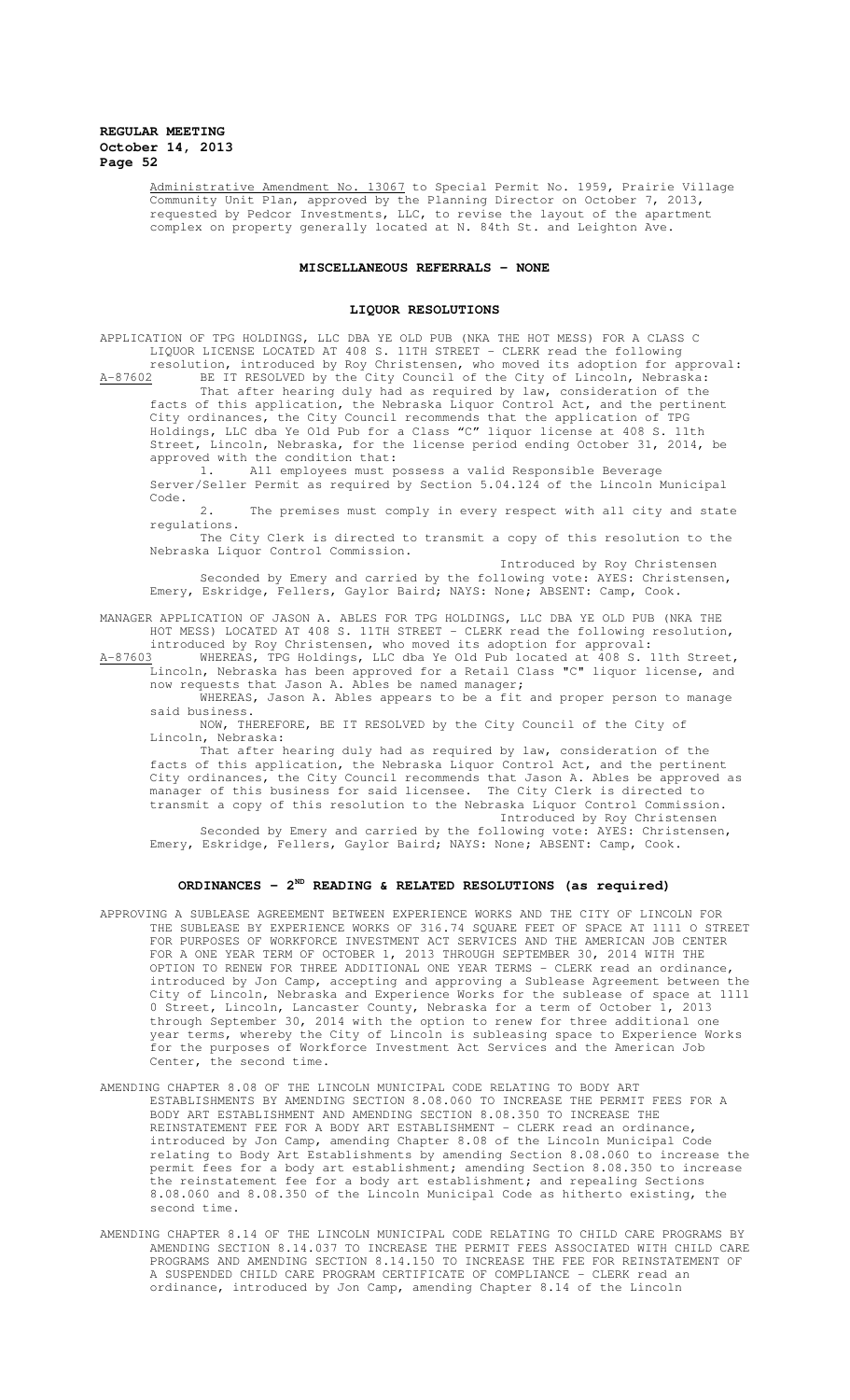Administrative Amendment No. 13067 to Special Permit No. 1959, Prairie Village Community Unit Plan, approved by the Planning Director on October 7, 2013, requested by Pedcor Investments, LLC, to revise the layout of the apartment complex on property generally located at N. 84th St. and Leighton Ave.

## **MISCELLANEOUS REFERRALS - NONE**

# **LIQUOR RESOLUTIONS**

APPLICATION OF TPG HOLDINGS, LLC DBA YE OLD PUB (NKA THE HOT MESS) FOR A CLASS C LIQUOR LICENSE LOCATED AT 408 S. 11TH STREET - CLERK read the following resolution, introduced by Roy Christensen, who moved its adoption for approval:

A-87602 BE IT RESOLVED by the City Council of the City of Lincoln, Nebraska: That after hearing duly had as required by law, consideration of the facts of this application, the Nebraska Liquor Control Act, and the pertinent City ordinances, the City Council recommends that the application of TPG Holdings, LLC dba Ye Old Pub for a Class "C" liquor license at 408 S. 11th Street, Lincoln, Nebraska, for the license period ending October 31, 2014, be approved with the condition that:<br>1. All employees must p

1. All employees must possess a valid Responsible Beverage Server/Seller Permit as required by Section 5.04.124 of the Lincoln Municipal Code.

2. The premises must comply in every respect with all city and state regulations.

The City Clerk is directed to transmit a copy of this resolution to the Nebraska Liquor Control Commission.

Introduced by Roy Christensen Seconded by Emery and carried by the following vote: AYES: Christensen, Emery, Eskridge, Fellers, Gaylor Baird; NAYS: None; ABSENT: Camp, Cook.

MANAGER APPLICATION OF JASON A. ABLES FOR TPG HOLDINGS, LLC DBA YE OLD PUB (NKA THE HOT MESS) LOCATED AT 408 S. 11TH STREET - CLERK read the following resolution, introduced by Roy Christensen, who moved its adoption for approval:

A-87603 WHEREAS, TPG Holdings, LLC dba Ye Old Pub located at 408 S. 11th Street, Lincoln, Nebraska has been approved for a Retail Class "C" liquor license, and now requests that Jason A. Ables be named manager;

WHEREAS, Jason A. Ables appears to be a fit and proper person to manage said business. NOW, THEREFORE, BE IT RESOLVED by the City Council of the City of

Lincoln, Nebraska:

That after hearing duly had as required by law, consideration of the facts of this application, the Nebraska Liquor Control Act, and the pertinent City ordinances, the City Council recommends that Jason A. Ables be approved as manager of this business for said licensee. The City Clerk is directed to transmit a copy of this resolution to the Nebraska Liquor Control Commission.

Introduced by Roy Christensen Seconded by Emery and carried by the following vote: AYES: Christensen, Emery, Eskridge, Fellers, Gaylor Baird; NAYS: None; ABSENT: Camp, Cook.

# **ORDINANCES - 2ND READING & RELATED RESOLUTIONS (as required)**

- APPROVING A SUBLEASE AGREEMENT BETWEEN EXPERIENCE WORKS AND THE CITY OF LINCOLN FOR THE SUBLEASE BY EXPERIENCE WORKS OF 316.74 SQUARE FEET OF SPACE AT 1111 O STREET FOR PURPOSES OF WORKFORCE INVESTMENT ACT SERVICES AND THE AMERICAN JOB CENTER FOR A ONE YEAR TERM OF OCTOBER 1, 2013 THROUGH SEPTEMBER 30, 2014 WITH THE OPTION TO RENEW FOR THREE ADDITIONAL ONE YEAR TERMS - CLERK read an ordinance, introduced by Jon Camp, accepting and approving a Sublease Agreement between the City of Lincoln, Nebraska and Experience Works for the sublease of space at 1111 0 Street, Lincoln, Lancaster County, Nebraska for a term of October 1, 2013 through September 30, 2014 with the option to renew for three additional one year terms, whereby the City of Lincoln is subleasing space to Experience Works for the purposes of Workforce Investment Act Services and the American Job Center, the second time.
- AMENDING CHAPTER 8.08 OF THE LINCOLN MUNICIPAL CODE RELATING TO BODY ART ESTABLISHMENTS BY AMENDING SECTION 8.08.060 TO INCREASE THE PERMIT FEES FOR A BODY ART ESTABLISHMENT AND AMENDING SECTION 8.08.350 TO INCREASE THE REINSTATEMENT FEE FOR A BODY ART ESTABLISHMENT - CLERK read an ordinance, introduced by Jon Camp, amending Chapter 8.08 of the Lincoln Municipal Code relating to Body Art Establishments by amending Section 8.08.060 to increase the permit fees for a body art establishment; amending Section 8.08.350 to increase the reinstatement fee for a body art establishment; and repealing Sections 8.08.060 and 8.08.350 of the Lincoln Municipal Code as hitherto existing, the second time.
- AMENDING CHAPTER 8.14 OF THE LINCOLN MUNICIPAL CODE RELATING TO CHILD CARE PROGRAMS BY AMENDING SECTION 8.14.037 TO INCREASE THE PERMIT FEES ASSOCIATED WITH CHILD CARE PROGRAMS AND AMENDING SECTION 8.14.150 TO INCREASE THE FEE FOR REINSTATEMENT OF A SUSPENDED CHILD CARE PROGRAM CERTIFICATE OF COMPLIANCE - CLERK read an ordinance, introduced by Jon Camp, amending Chapter 8.14 of the Lincoln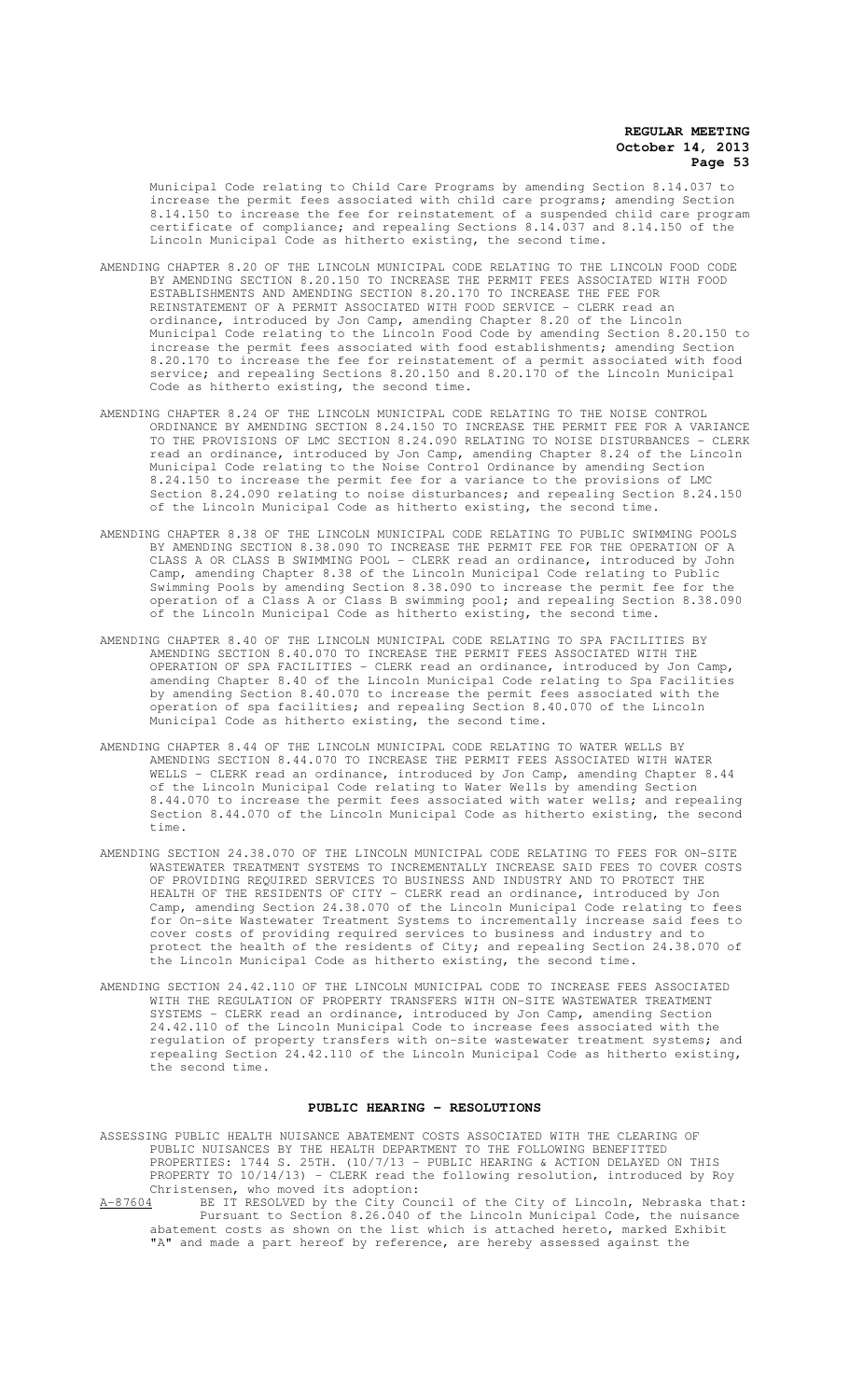Municipal Code relating to Child Care Programs by amending Section 8.14.037 to increase the permit fees associated with child care programs; amending Section 8.14.150 to increase the fee for reinstatement of a suspended child care program certificate of compliance; and repealing Sections 8.14.037 and 8.14.150 of the Lincoln Municipal Code as hitherto existing, the second time.

- AMENDING CHAPTER 8.20 OF THE LINCOLN MUNICIPAL CODE RELATING TO THE LINCOLN FOOD CODE BY AMENDING SECTION 8.20.150 TO INCREASE THE PERMIT FEES ASSOCIATED WITH FOOD ESTABLISHMENTS AND AMENDING SECTION 8.20.170 TO INCREASE THE FEE FOR REINSTATEMENT OF A PERMIT ASSOCIATED WITH FOOD SERVICE - CLERK read an ordinance, introduced by Jon Camp, amending Chapter 8.20 of the Lincoln Municipal Code relating to the Lincoln Food Code by amending Section 8.20.150 to increase the permit fees associated with food establishments; amending Section 8.20.170 to increase the fee for reinstatement of a permit associated with food service; and repealing Sections 8.20.150 and 8.20.170 of the Lincoln Municipal Code as hitherto existing, the second time.
- AMENDING CHAPTER 8.24 OF THE LINCOLN MUNICIPAL CODE RELATING TO THE NOISE CONTROL ORDINANCE BY AMENDING SECTION 8.24.150 TO INCREASE THE PERMIT FEE FOR A VARIANCE TO THE PROVISIONS OF LMC SECTION 8.24.090 RELATING TO NOISE DISTURBANCES - CLERK read an ordinance, introduced by Jon Camp, amending Chapter 8.24 of the Lincoln Municipal Code relating to the Noise Control Ordinance by amending Section 8.24.150 to increase the permit fee for a variance to the provisions of LMC Section 8.24.090 relating to noise disturbances; and repealing Section 8.24.150 of the Lincoln Municipal Code as hitherto existing, the second time.
- AMENDING CHAPTER 8.38 OF THE LINCOLN MUNICIPAL CODE RELATING TO PUBLIC SWIMMING POOLS BY AMENDING SECTION 8.38.090 TO INCREASE THE PERMIT FEE FOR THE OPERATION OF A CLASS A OR CLASS B SWIMMING POOL - CLERK read an ordinance, introduced by John Camp, amending Chapter 8.38 of the Lincoln Municipal Code relating to Public Swimming Pools by amending Section 8.38.090 to increase the permit fee for the operation of a Class A or Class B swimming pool; and repealing Section 8.38.090 of the Lincoln Municipal Code as hitherto existing, the second time.
- AMENDING CHAPTER 8.40 OF THE LINCOLN MUNICIPAL CODE RELATING TO SPA FACILITIES BY AMENDING SECTION 8.40.070 TO INCREASE THE PERMIT FEES ASSOCIATED WITH THE OPERATION OF SPA FACILITIES - CLERK read an ordinance, introduced by Jon Camp, amending Chapter 8.40 of the Lincoln Municipal Code relating to Spa Facilities by amending Section 8.40.070 to increase the permit fees associated with the operation of spa facilities; and repealing Section 8.40.070 of the Lincoln Municipal Code as hitherto existing, the second time.
- AMENDING CHAPTER 8.44 OF THE LINCOLN MUNICIPAL CODE RELATING TO WATER WELLS BY AMENDING SECTION 8.44.070 TO INCREASE THE PERMIT FEES ASSOCIATED WITH WATER WELLS - CLERK read an ordinance, introduced by Jon Camp, amending Chapter 8.44 of the Lincoln Municipal Code relating to Water Wells by amending Section 8.44.070 to increase the permit fees associated with water wells; and repealing Section 8.44.070 of the Lincoln Municipal Code as hitherto existing, the second time.
- AMENDING SECTION 24.38.070 OF THE LINCOLN MUNICIPAL CODE RELATING TO FEES FOR ON-SITE WASTEWATER TREATMENT SYSTEMS TO INCREMENTALLY INCREASE SAID FEES TO COVER COSTS OF PROVIDING REQUIRED SERVICES TO BUSINESS AND INDUSTRY AND TO PROTECT THE HEALTH OF THE RESIDENTS OF CITY - CLERK read an ordinance, introduced by Jon Camp, amending Section 24.38.070 of the Lincoln Municipal Code relating to fees for On-site Wastewater Treatment Systems to incrementally increase said fees to cover costs of providing required services to business and industry and to protect the health of the residents of City; and repealing Section 24.38.070 of the Lincoln Municipal Code as hitherto existing, the second time.
- AMENDING SECTION 24.42.110 OF THE LINCOLN MUNICIPAL CODE TO INCREASE FEES ASSOCIATED WITH THE REGULATION OF PROPERTY TRANSFERS WITH ON-SITE WASTEWATER TREATMENT SYSTEMS - CLERK read an ordinance, introduced by Jon Camp, amending Section 24.42.110 of the Lincoln Municipal Code to increase fees associated with the regulation of property transfers with on-site wastewater treatment systems; and repealing Section 24.42.110 of the Lincoln Municipal Code as hitherto existing, the second time.

## **PUBLIC HEARING - RESOLUTIONS**

ASSESSING PUBLIC HEALTH NUISANCE ABATEMENT COSTS ASSOCIATED WITH THE CLEARING OF PUBLIC NUISANCES BY THE HEALTH DEPARTMENT TO THE FOLLOWING BENEFITTED PROPERTIES: 1744 S. 25TH. (10/7/13 - PUBLIC HEARING & ACTION DELAYED ON THIS PROPERTY TO 10/14/13) - CLERK read the following resolution, introduced by Roy Christensen, who moved its adoption:<br>A-87604 BE IT RESOLVED by the City Cou

A-87604 BE IT RESOLVED by the City Council of the City of Lincoln, Nebraska that: Pursuant to Section 8.26.040 of the Lincoln Municipal Code, the nuisance abatement costs as shown on the list which is attached hereto, marked Exhibit "A" and made a part hereof by reference, are hereby assessed against the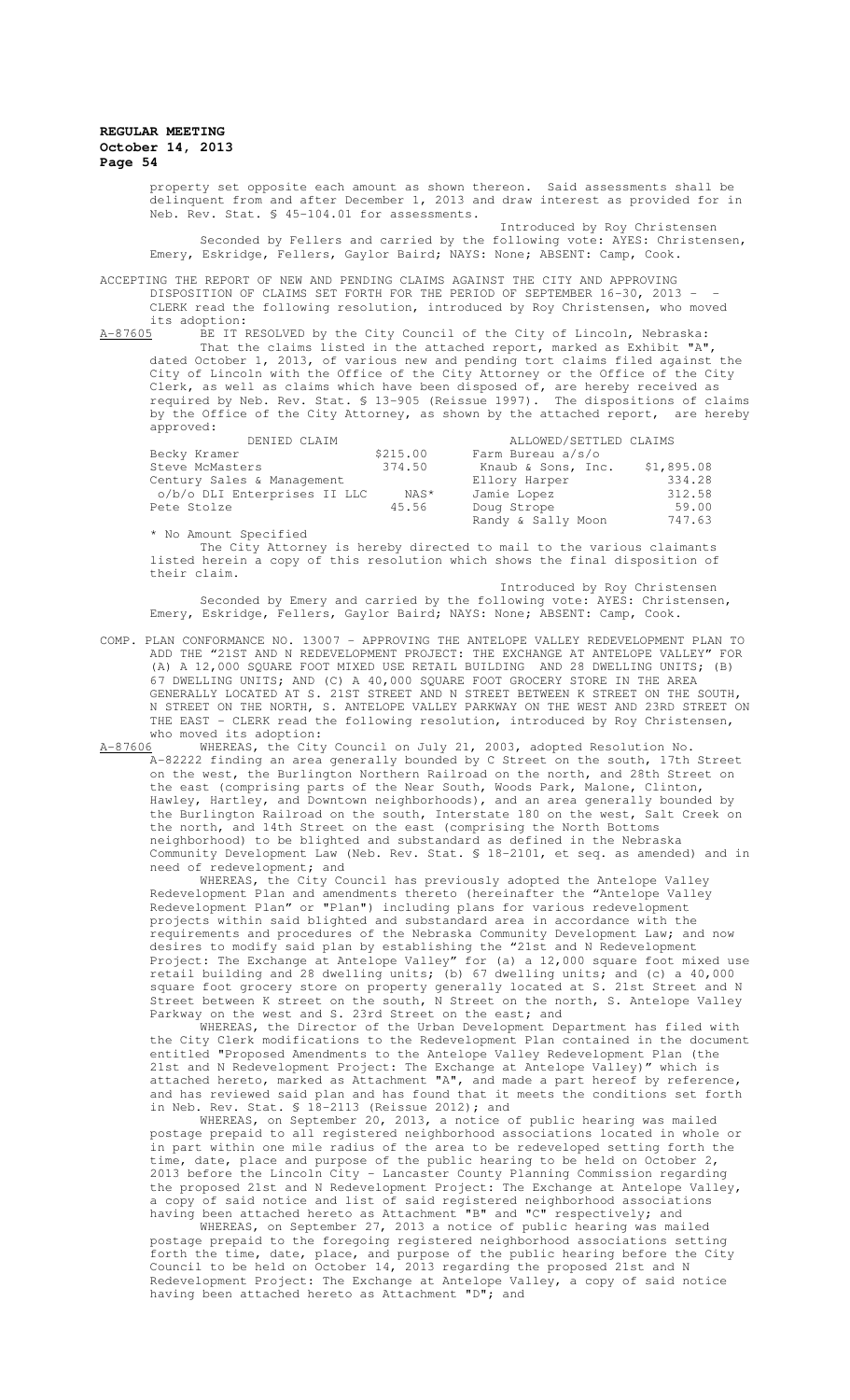property set opposite each amount as shown thereon. Said assessments shall be delinquent from and after December 1, 2013 and draw interest as provided for in Neb. Rev. Stat. § 45-104.01 for assessments.

Introduced by Roy Christensen Seconded by Fellers and carried by the following vote: AYES: Christensen, Emery, Eskridge, Fellers, Gaylor Baird; NAYS: None; ABSENT: Camp, Cook.

ACCEPTING THE REPORT OF NEW AND PENDING CLAIMS AGAINST THE CITY AND APPROVING DISPOSITION OF CLAIMS SET FORTH FOR THE PERIOD OF SEPTEMBER 16-30, 2013 -CLERK read the following resolution, introduced by Roy Christensen, who moved

its adoption:<br><u>A-87605</u> BE IT F AE IT RESOLVED by the City Council of the City of Lincoln, Nebraska: That the claims listed in the attached report, marked as Exhibit "A", dated October 1, 2013, of various new and pending tort claims filed against the City of Lincoln with the Office of the City Attorney or the Office of the City Clerk, as well as claims which have been disposed of, are hereby received as required by Neb. Rev. Stat. § 13-905 (Reissue 1997). The dispositions of claims by the Office of the City Attorney, as shown by the attached report, are hereby approved:

| DENIED CLAIM                 |          | ALLOWED/SETTLED CLAIMS |            |
|------------------------------|----------|------------------------|------------|
| Becky Kramer                 | \$215.00 | Farm Bureau a/s/o      |            |
| Steve McMasters              | 374.50   | Knaub & Sons, Inc.     | \$1,895.08 |
| Century Sales & Management   |          | Ellory Harper          | 334.28     |
| o/b/o DLI Enterprises II LLC | NAS*     | Jamie Lopez            | 312.58     |
| Pete Stolze                  | 45.56    | Doug Strope            | 59.00      |
|                              |          | Randy & Sally Moon     | 747.63     |

\* No Amount Specified

The City Attorney is hereby directed to mail to the various claimants listed herein a copy of this resolution which shows the final disposition of their claim.

Introduced by Roy Christensen Seconded by Emery and carried by the following vote: AYES: Christensen, Emery, Eskridge, Fellers, Gaylor Baird; NAYS: None; ABSENT: Camp, Cook.

COMP. PLAN CONFORMANCE NO. 13007 – APPROVING THE ANTELOPE VALLEY REDEVELOPMENT PLAN TO ADD THE "21ST AND N REDEVELOPMENT PROJECT: THE EXCHANGE AT ANTELOPE VALLEY" FOR (A) A 12,000 SQUARE FOOT MIXED USE RETAIL BUILDING AND 28 DWELLING UNITS; (B) 67 DWELLING UNITS; AND (C) A 40,000 SQUARE FOOT GROCERY STORE IN THE AREA GENERALLY LOCATED AT S. 21ST STREET AND N STREET BETWEEN K STREET ON THE SOUTH, N STREET ON THE NORTH, S. ANTELOPE VALLEY PARKWAY ON THE WEST AND 23RD STREET ON THE EAST - CLERK read the following resolution, introduced by Roy Christensen, who moved its adoption:<br> $A-87606$  WHEREAS, the City

WHEREAS, the City Council on July 21, 2003, adopted Resolution No. A-82222 finding an area generally bounded by C Street on the south, 17th Street on the west, the Burlington Northern Railroad on the north, and 28th Street on the east (comprising parts of the Near South, Woods Park, Malone, Clinton, Hawley, Hartley, and Downtown neighborhoods), and an area generally bounded by the Burlington Railroad on the south, Interstate 180 on the west, Salt Creek on the north, and 14th Street on the east (comprising the North Bottoms neighborhood) to be blighted and substandard as defined in the Nebraska Community Development Law (Neb. Rev. Stat. § 18-2101, et seq. as amended) and in need of redevelopment; and

WHEREAS, the City Council has previously adopted the Antelope Valley Redevelopment Plan and amendments thereto (hereinafter the "Antelope Valley Redevelopment Plan" or "Plan") including plans for various redevelopment projects within said blighted and substandard area in accordance with the requirements and procedures of the Nebraska Community Development Law; and now desires to modify said plan by establishing the "21st and N Redevelopment Project: The Exchange at Antelope Valley" for (a) a 12,000 square foot mixed use retail building and 28 dwelling units; (b) 67 dwelling units; and (c) a 40,000 square foot grocery store on property generally located at S. 21st Street and N Street between K street on the south, N Street on the north, S. Antelope Valley Parkway on the west and S. 23rd Street on the east; and

WHEREAS, the Director of the Urban Development Department has filed with the City Clerk modifications to the Redevelopment Plan contained in the document<br>entitled "Proposed Amendments to the Antelope Valley Redevelopment Plan (the entitled "Proposed Amendments to the Antelope Valley Redevelopment Plan 21st and N Redevelopment Project: The Exchange at Antelope Valley)" which is attached hereto, marked as Attachment "A", and made a part hereof by reference, and has reviewed said plan and has found that it meets the conditions set forth in Neb. Rev. Stat. § 18-2113 (Reissue 2012); and

WHEREAS, on September 20, 2013, a notice of public hearing was mailed postage prepaid to all registered neighborhood associations located in whole or in part within one mile radius of the area to be redeveloped setting forth the time, date, place and purpose of the public hearing to be held on October 2, 2013 before the Lincoln City - Lancaster County Planning Commission regarding the proposed 21st and N Redevelopment Project: The Exchange at Antelope Valley, a copy of said notice and list of said registered neighborhood associations having been attached hereto as Attachment "B" and "C" respectively; and

WHEREAS, on September 27, 2013 a notice of public hearing was mailed postage prepaid to the foregoing registered neighborhood associations setting forth the time, date, place, and purpose of the public hearing before the City Council to be held on October 14, 2013 regarding the proposed 21st and N Redevelopment Project: The Exchange at Antelope Valley, a copy of said notice having been attached hereto as Attachment "D"; and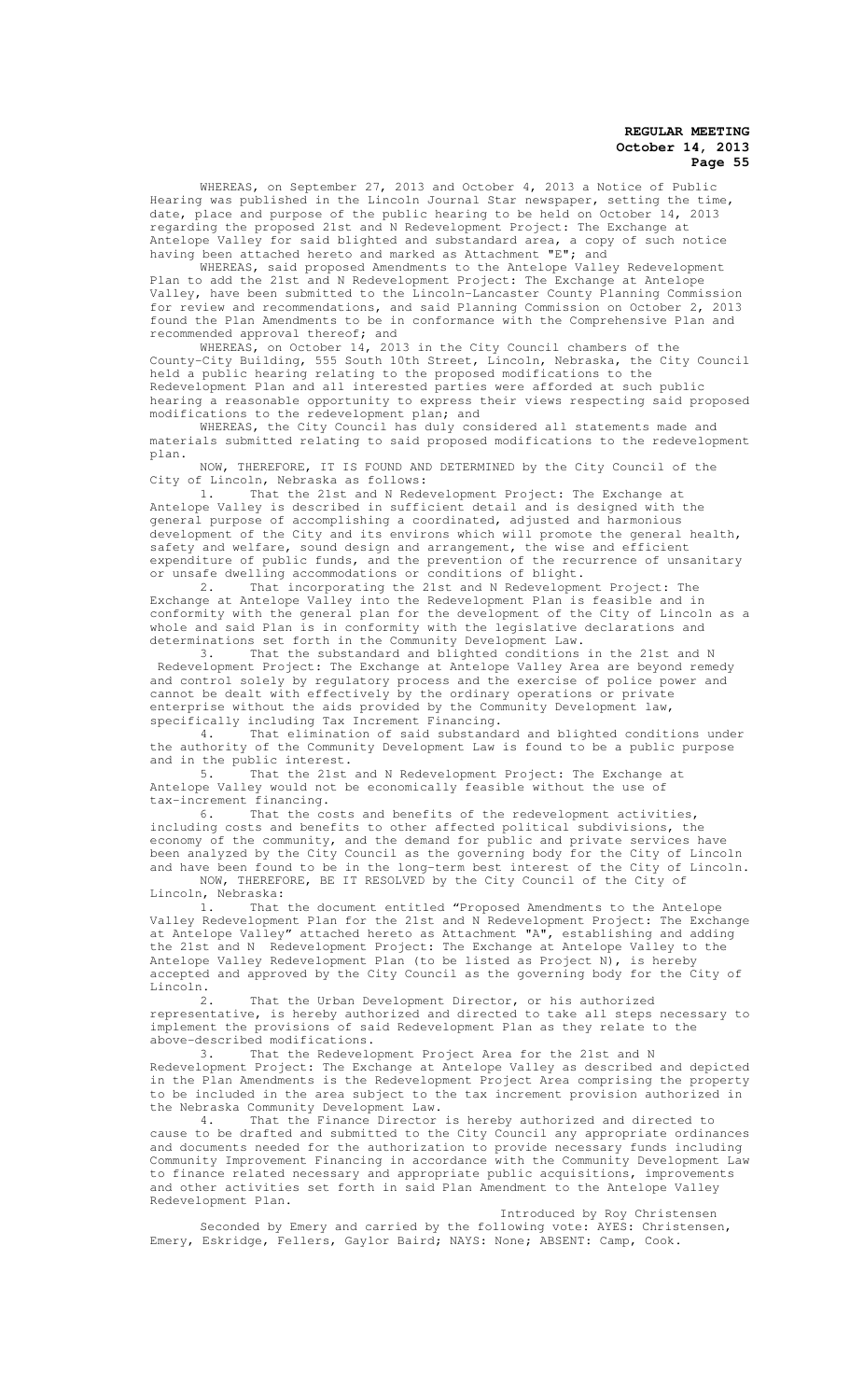WHEREAS, on September 27, 2013 and October 4, 2013 a Notice of Public Hearing was published in the Lincoln Journal Star newspaper, setting the time, date, place and purpose of the public hearing to be held on October 14, 2013 regarding the proposed 21st and N Redevelopment Project: The Exchange at Antelope Valley for said blighted and substandard area, a copy of such notice having been attached hereto and marked as Attachment "E"; and

WHEREAS, said proposed Amendments to the Antelope Valley Redevelopment Plan to add the 21st and N Redevelopment Project: The Exchange at Antelope Valley, have been submitted to the Lincoln-Lancaster County Planning Commission for review and recommendations, and said Planning Commission on October 2, 2013 found the Plan Amendments to be in conformance with the Comprehensive Plan and recommended approval thereof; and

WHEREAS, on October 14, 2013 in the City Council chambers of the County-City Building, 555 South 10th Street, Lincoln, Nebraska, the City Council held a public hearing relating to the proposed modifications to the Redevelopment Plan and all interested parties were afforded at such public hearing a reasonable opportunity to express their views respecting said proposed modifications to the redevelopment plan; and

WHEREAS, the City Council has duly considered all statements made and materials submitted relating to said proposed modifications to the redevelopment plan.

NOW, THEREFORE, IT IS FOUND AND DETERMINED by the City Council of the City of Lincoln, Nebraska as follows:

1. That the 21st and N Redevelopment Project: The Exchange at Antelope Valley is described in sufficient detail and is designed with the general purpose of accomplishing a coordinated, adjusted and harmonious development of the City and its environs which will promote the general health, safety and welfare, sound design and arrangement, the wise and efficient expenditure of public funds, and the prevention of the recurrence of unsanitary or unsafe dwelling accommodations or conditions of blight.<br>2. That incorporating the 21st and N Redevelopme

incorporating the 21st and N Redevelopment Project: The Exchange at Antelope Valley into the Redevelopment Plan is feasible and in conformity with the general plan for the development of the City of Lincoln as a whole and said Plan is in conformity with the legislative declarations and determinations set forth in the Community Development Law.

3. That the substandard and blighted conditions in the 21st and N Redevelopment Project: The Exchange at Antelope Valley Area are beyond remedy and control solely by regulatory process and the exercise of police power and cannot be dealt with effectively by the ordinary operations or private enterprise without the aids provided by the Community Development law, specifically including Tax Increment Financing.<br>4. That elimination of said substanda

4. That elimination of said substandard and blighted conditions under the authority of the Community Development Law is found to be a public purpose and in the public interest.

5. That the 21st and N Redevelopment Project: The Exchange at Antelope Valley would not be economically feasible without the use of tax-increment financing.

6. That the costs and benefits of the redevelopment activities, including costs and benefits to other affected political subdivisions, the economy of the community, and the demand for public and private services have been analyzed by the City Council as the governing body for the City of Lincoln and have been found to be in the long-term best interest of the City of Lincoln. NOW, THEREFORE, BE IT RESOLVED by the City Council of the City of

Lincoln, Nebraska:

1. That the document entitled "Proposed Amendments to the Antelope Valley Redevelopment Plan for the 21st and N Redevelopment Project: The Exchange at Antelope Valley" attached hereto as Attachment "A", establishing and adding the 21st and N Redevelopment Project: The Exchange at Antelope Valley to the Antelope Valley Redevelopment Plan (to be listed as Project N), is hereby accepted and approved by the City Council as the governing body for the City of Lincoln.

2. That the Urban Development Director, or his authorized representative, is hereby authorized and directed to take all steps necessary to implement the provisions of said Redevelopment Plan as they relate to the above-described modifications.<br>3. That the Redevelo

That the Redevelopment Project Area for the 21st and N Redevelopment Project: The Exchange at Antelope Valley as described and depicted in the Plan Amendments is the Redevelopment Project Area comprising the property to be included in the area subject to the tax increment provision authorized in the Nebraska Community Development Law.

4. That the Finance Director is hereby authorized and directed to cause to be drafted and submitted to the City Council any appropriate ordinances and documents needed for the authorization to provide necessary funds including Community Improvement Financing in accordance with the Community Development Law to finance related necessary and appropriate public acquisitions, improvements and other activities set forth in said Plan Amendment to the Antelope Valley Redevelopment Plan.

#### Introduced by Roy Christensen

Seconded by Emery and carried by the following vote: AYES: Christensen, Emery, Eskridge, Fellers, Gaylor Baird; NAYS: None; ABSENT: Camp, Cook.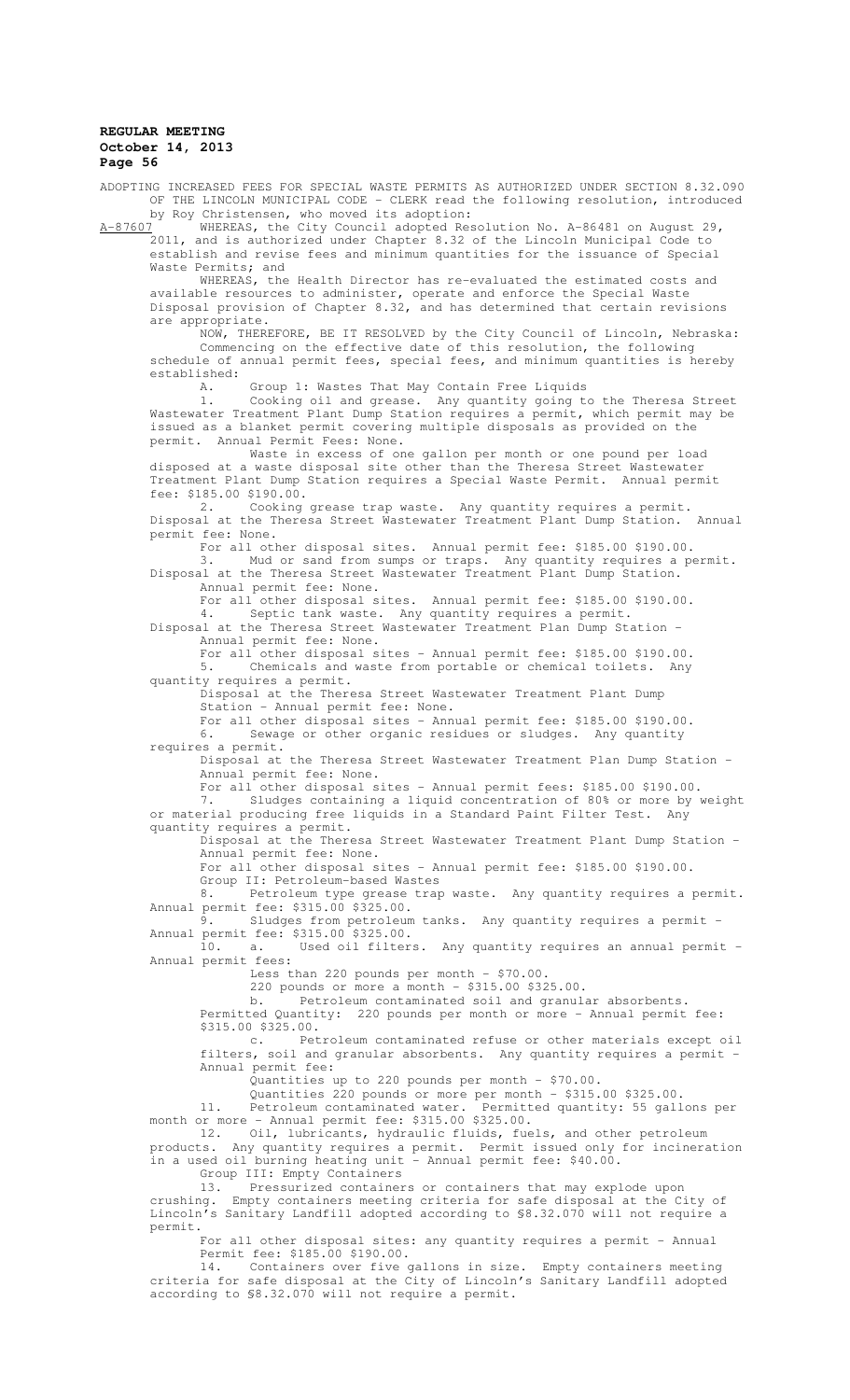ADOPTING INCREASED FEES FOR SPECIAL WASTE PERMITS AS AUTHORIZED UNDER SECTION 8.32.090 OF THE LINCOLN MUNICIPAL CODE - CLERK read the following resolution, introduced by Roy Christensen, who moved its adoption:<br>A-87607 WHEREAS, the City Council adopted Res

WHEREAS, the City Council adopted Resolution No. A-86481 on August 29, 2011, and is authorized under Chapter 8.32 of the Lincoln Municipal Code to establish and revise fees and minimum quantities for the issuance of Special Waste Permits; and

WHEREAS, the Health Director has re-evaluated the estimated costs and available resources to administer, operate and enforce the Special Waste Disposal provision of Chapter 8.32, and has determined that certain revisions are appropriate.

NOW, THEREFORE, BE IT RESOLVED by the City Council of Lincoln, Nebraska: Commencing on the effective date of this resolution, the following schedule of annual permit fees, special fees, and minimum quantities is hereby established:<br>A.

Group 1: Wastes That May Contain Free Liquids

1. Cooking oil and grease. Any quantity going to the Theresa Street Wastewater Treatment Plant Dump Station requires a permit, which permit may be issued as a blanket permit covering multiple disposals as provided on the permit. Annual Permit Fees: None.

Waste in excess of one gallon per month or one pound per load disposed at a waste disposal site other than the Theresa Street Wastewater Treatment Plant Dump Station requires a Special Waste Permit. Annual permit fee: \$185.00 \$190.00.

2. Cooking grease trap waste. Any quantity requires a permit. Disposal at the Theresa Street Wastewater Treatment Plant Dump Station. Annual permit fee: None.

For all other disposal sites. Annual permit fee: \$185.00 \$190.00.

3. Mud or sand from sumps or traps. Any quantity requires a permit. Disposal at the Theresa Street Wastewater Treatment Plant Dump Station. Annual permit fee: None.

For all other disposal sites. Annual permit fee: \$185.00 \$190.00.

4. Septic tank waste. Any quantity requires a permit. Disposal at the Theresa Street Wastewater Treatment Plan Dump Station - Annual permit fee: None.

For all other disposal sites - Annual permit fee: \$185.00 \$190.00. 5. Chemicals and waste from portable or chemical toilets. Any quantity requires a permit.

Disposal at the Theresa Street Wastewater Treatment Plant Dump Station - Annual permit fee: None.

For all other disposal sites - Annual permit fee: \$185.00 \$190.00. 6. Sewage or other organic residues or sludges. Any quantity

requires a permit. Disposal at the Theresa Street Wastewater Treatment Plan Dump Station - Annual permit fee: None.

For all other disposal sites - Annual permit fees: \$185.00 \$190.00. 7. Sludges containing a liquid concentration of 80% or more by weight

or material producing free liquids in a Standard Paint Filter Test. Any quantity requires a permit.

Disposal at the Theresa Street Wastewater Treatment Plant Dump Station - Annual permit fee: None.

For all other disposal sites - Annual permit fee: \$185.00 \$190.00. Group II: Petroleum-based Wastes

8. Petroleum type grease trap waste. Any quantity requires a permit. Annual permit fee: \$315.00 \$325.00.<br>9. Sludges from notice!

9. Sludges from petroleum tanks. Any quantity requires a permit - Annual permit fee: \$315.00 \$325.00.

10. a. Used oil filters. Any quantity requires an annual permit - Annual permit fees:

Less than 220 pounds per month - \$70.00.

220 pounds or more a month - \$315.00 \$325.00.

b. Petroleum contaminated soil and granular absorbents. Permitted Quantity: 220 pounds per month or more - Annual permit fee:

\$315.00 \$325.00.<br>:c. Pet Petroleum contaminated refuse or other materials except oil filters, soil and granular absorbents. Any quantity requires a permit - Annual permit fee:

Quantities up to 220 pounds per month - \$70.00.

Quantities 220 pounds or more per month - \$315.00 \$325.00.<br>Petroleum contaminated water. Permitted quantity: 55 gall

11. Petroleum contaminated water. Permitted quantity: 55 gallons per month or more - Annual permit fee: \$315.00 \$325.00.

12. Oil, lubricants, hydraulic fluids, fuels, and other petroleum products. Any quantity requires a permit. Permit issued only for incineration in a used oil burning heating unit - Annual permit fee:  $$40.00$ .

Group III: Empty Containers<br>13. Pressurized containers or containers that may explode upon 13. Pressurized containers or containers that may explode upon crushing. Empty containers meeting criteria for safe disposal at the City of Lincoln's Sanitary Landfill adopted according to §8.32.070 will not require a permit.

For all other disposal sites: any quantity requires a permit - Annual Permit fee: \$185.00 \$190.00.

14. Containers over five gallons in size. Empty containers meeting criteria for safe disposal at the City of Lincoln's Sanitary Landfill adopted according to §8.32.070 will not require a permit.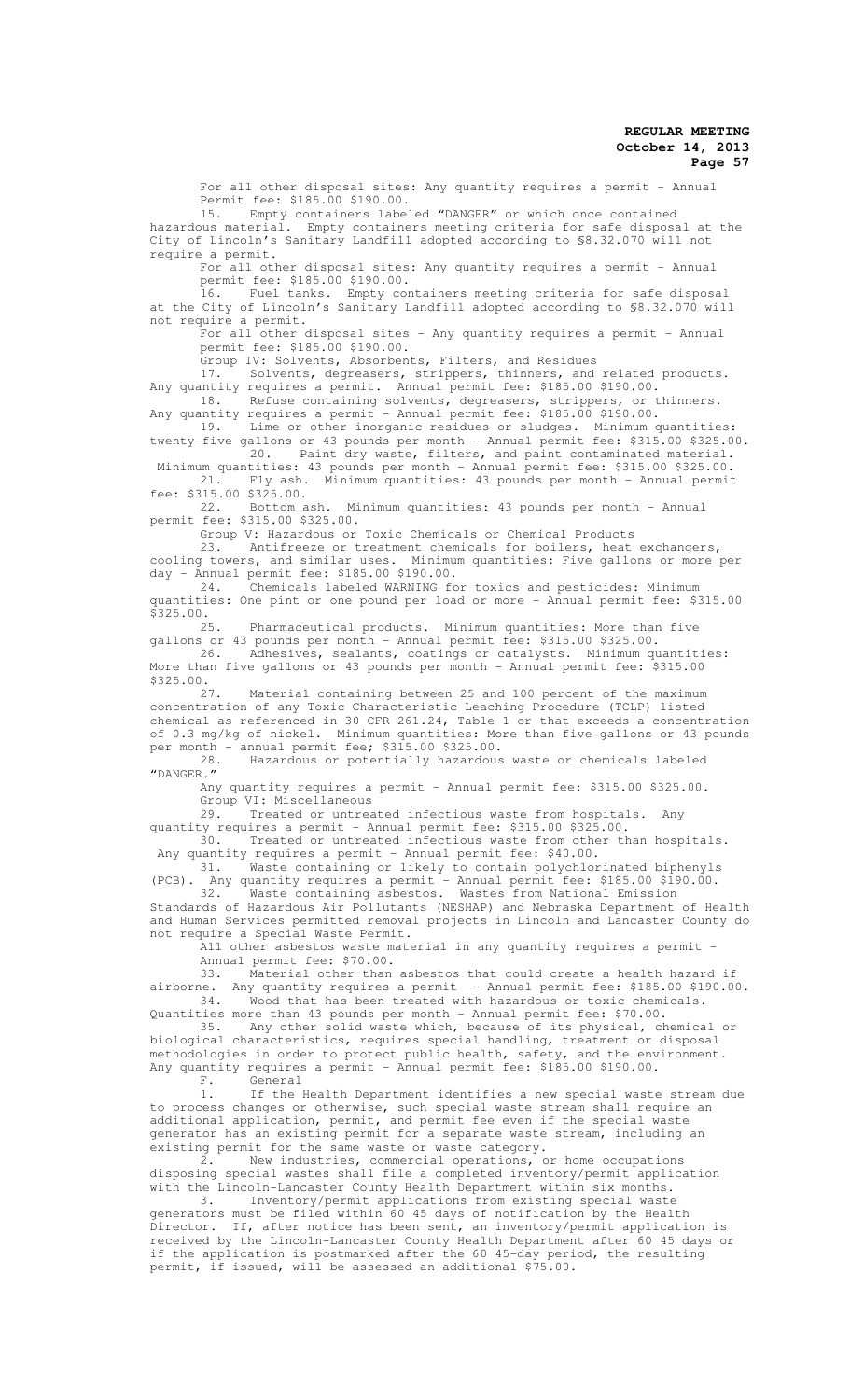For all other disposal sites: Any quantity requires a permit - Annual Permit fee: \$185.00 \$190.00.

15. Empty containers labeled "DANGER" or which once contained hazardous material. Empty containers meeting criteria for safe disposal at the City of Lincoln's Sanitary Landfill adopted according to §8.32.070 will not require a permit.

For all other disposal sites: Any quantity requires a permit - Annual permit fee: \$185.00 \$190.00.

.<br>16. Fuel tanks. Empty containers meeting criteria for safe disposal at the City of Lincoln's Sanitary Landfill adopted according to §8.32.070 will not require a permit.

For all other disposal sites - Any quantity requires a permit - Annual permit fee: \$185.00 \$190.00.

Group IV: Solvents, Absorbents, Filters, and Residues

17. Solvents, degreasers, strippers, thinners, and related products. Any quantity requires a permit. Annual permit fee: \$185.00 \$190.00. 18. Refuse containing solvents, degreasers, strippers, or thinners.

Any quantity requires a permit - Annual permit fee: \$185.00 \$190.00. 19. Lime or other inorganic residues or sludges. Minimum quantities:

twenty-five gallons or 43 pounds per month - Annual permit fee: \$315.00 \$325.00. 20. Paint dry waste, filters, and paint contaminated material.

Minimum quantities: 43 pounds per month - Annual permit fee: \$315.00 \$325.00.<br>21. Fly ash. Minimum quantities: 43 pounds per month - Annual permit Fly ash. Minimum quantities: 43 pounds per month - Annual permit fee: \$315.00 \$325.00.

22. Bottom ash. Minimum quantities: 43 pounds per month - Annual permit fee: \$315.00 \$325.00.

Group V: Hazardous or Toxic Chemicals or Chemical Products

23. Antifreeze or treatment chemicals for boilers, heat exchangers, cooling towers, and similar uses. Minimum quantities: Five gallons or more per day - Annual permit fee: \$185.00 \$190.00.<br>24. Chemicals labeled WARNING for

.<br>Chemicals labeled WARNING for toxics and pesticides: Minimum quantities: One pint or one pound per load or more - Annual permit fee: \$315.00 \$325.00.

25. Pharmaceutical products. Minimum quantities: More than five

gallons or 43 pounds per month - Annual permit fee: \$315.00 \$325.00. 26. Adhesives, sealants, coatings or catalysts. Minimum quantities: More than five gallons or 43 pounds per month - Annual permit fee: \$315.00  $$325.00.$ <br>27.

Material containing between 25 and 100 percent of the maximum concentration of any Toxic Characteristic Leaching Procedure (TCLP) listed chemical as referenced in 30 CFR 261.24, Table 1 or that exceeds a concentration of 0.3 mg/kg of nickel. Minimum quantities: More than five gallons or 43 pounds per month - annual permit fee; \$315.00 \$325.00.<br>28. Hazardous or potentially hazardous

28. Hazardous or potentially hazardous waste or chemicals labeled "DANGER."

Any quantity requires a permit - Annual permit fee: \$315.00 \$325.00. Group VI: Miscellaneous

29. Treated or untreated infectious waste from hospitals. Any

quantity requires a permit - Annual permit fee: \$315.00 \$325.00.<br>30. Treated or untreated infectious waste from other th Treated or untreated infectious waste from other than hospitals. Any quantity requires a permit - Annual permit fee: \$40.00.

31. Waste containing or likely to contain polychlorinated biphenyls (PCB). Any quantity requires a permit - Annual permit fee: \$185.00 \$190.00.

32. Waste containing asbestos. Wastes from National Emission Standards of Hazardous Air Pollutants (NESHAP) and Nebraska Department of Health and Human Services permitted removal projects in Lincoln and Lancaster County do not require a Special Waste Permit.

.<br>All other asbestos waste material in any quantity requires a permit -Annual permit fee: \$70.00.

33. Material other than asbestos that could create a health hazard if airborne. Any quantity requires a permit - Annual permit fee: \$185.00 \$190.00. 34. Wood that has been treated with hazardous or toxic chemicals. Quantities more than 43 pounds per month - Annual permit fee: \$70.00.

35. Any other solid waste which, because of its physical, chemical or biological characteristics, requires special handling, treatment or disposal methodologies in order to protect public health, safety, and the environment. Any quantity requires a permit - Annual permit fee: \$185.00 \$190.00.<br>F. General

General

1. If the Health Department identifies a new special waste stream due to process changes or otherwise, such special waste stream shall require an additional application, permit, and permit fee even if the special waste generator has an existing permit for a separate waste stream, including an existing permit for the same waste or waste category.

2. New industries, commercial operations, or home occupations disposing special wastes shall file a completed inventory/permit application with the Lincoln-Lancaster County Health Department within six months.

3. Inventory/permit applications from existing special waste generators must be filed within 60 45 days of notification by the Health Director. If, after notice has been sent, an inventory/permit application is received by the Lincoln-Lancaster County Health Department after 60 45 days or if the application is postmarked after the 60 45-day period, the resulting permit, if issued, will be assessed an additional \$75.00.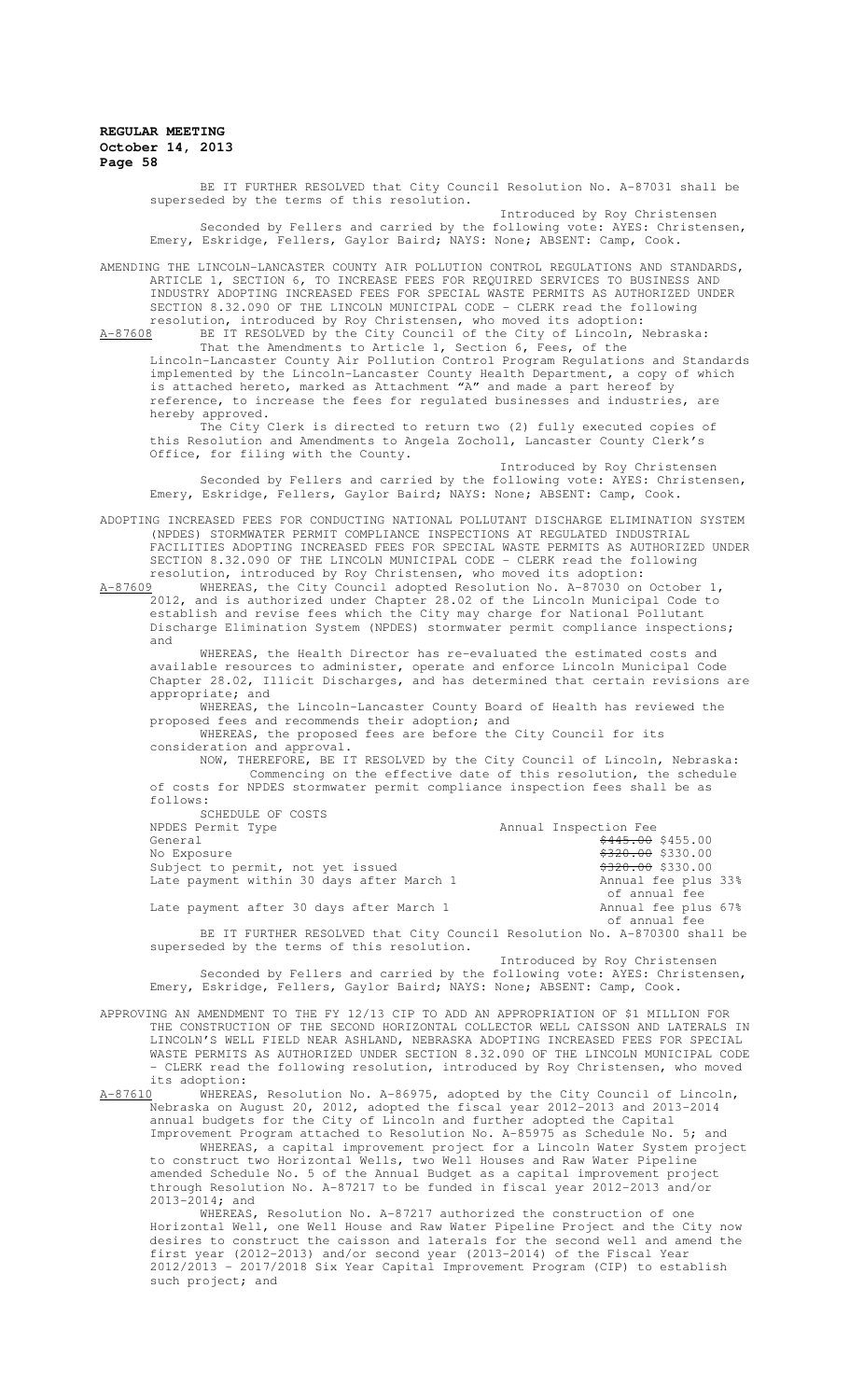superseded by the terms of this resolution. Introduced by Roy Christensen Seconded by Fellers and carried by the following vote: AYES: Christensen, Emery, Eskridge, Fellers, Gaylor Baird; NAYS: None; ABSENT: Camp, Cook. AMENDING THE LINCOLN-LANCASTER COUNTY AIR POLLUTION CONTROL REGULATIONS AND STANDARDS,

BE IT FURTHER RESOLVED that City Council Resolution No. A-87031 shall be

ARTICLE 1, SECTION 6, TO INCREASE FEES FOR REQUIRED SERVICES TO BUSINESS AND INDUSTRY ADOPTING INCREASED FEES FOR SPECIAL WASTE PERMITS AS AUTHORIZED UNDER SECTION 8.32.090 OF THE LINCOLN MUNICIPAL CODE - CLERK read the following resolution, introduced by Roy Christensen, who moved its adoption: A-87608 BE IT RESOLVED by the City Council of the City of Lincoln, Nebraska:

That the Amendments to Article 1, Section 6, Fees, of the Lincoln-Lancaster County Air Pollution Control Program Regulations and Standards implemented by the Lincoln-Lancaster County Health Department, a copy of which is attached hereto, marked as Attachment "A" and made a part hereof by reference, to increase the fees for regulated businesses and industries, are hereby approved.

The City Clerk is directed to return two (2) fully executed copies of this Resolution and Amendments to Angela Zocholl, Lancaster County Clerk's Office, for filing with the County.

Introduced by Roy Christensen Seconded by Fellers and carried by the following vote: AYES: Christensen, Emery, Eskridge, Fellers, Gaylor Baird; NAYS: None; ABSENT: Camp, Cook.

ADOPTING INCREASED FEES FOR CONDUCTING NATIONAL POLLUTANT DISCHARGE ELIMINATION SYSTEM (NPDES) STORMWATER PERMIT COMPLIANCE INSPECTIONS AT REGULATED INDUSTRIAL FACILITIES ADOPTING INCREASED FEES FOR SPECIAL WASTE PERMITS AS AUTHORIZED UNDER SECTION 8.32.090 OF THE LINCOLN MUNICIPAL CODE - CLERK read the following resolution, introduced by Roy Christensen, who moved its adoption:<br>A-87609 WHEREAS, the City Council adopted Resolution No. A-87030 on

WHEREAS, the City Council adopted Resolution No. A-87030 on October 1, 2012, and is authorized under Chapter 28.02 of the Lincoln Municipal Code to establish and revise fees which the City may charge for National Pollutant Discharge Elimination System (NPDES) stormwater permit compliance inspections; and

WHEREAS, the Health Director has re-evaluated the estimated costs and available resources to administer, operate and enforce Lincoln Municipal Code Chapter 28.02, Illicit Discharges, and has determined that certain revisions are appropriate; and

WHEREAS, the Lincoln-Lancaster County Board of Health has reviewed the proposed fees and recommends their adoption; and

WHEREAS, the proposed fees are before the City Council for its consideration and approval.

NOW, THEREFORE, BE IT RESOLVED by the City Council of Lincoln, Nebraska: Commencing on the effective date of this resolution, the schedule of costs for NPDES stormwater permit compliance inspection fees shall be as follows: SCHEDULE OF COSTS

| <u>UUILUULU UL UUUIU</u>                                                  |                                    |  |
|---------------------------------------------------------------------------|------------------------------------|--|
| NPDES Permit Type                                                         | Annual Inspection Fee              |  |
| General                                                                   | $\frac{6445.00}{9433.00}$ \$455.00 |  |
| No Exposure                                                               | <del>\$320.00</del> \$330.00       |  |
| Subject to permit, not yet issued                                         | $$320.00$ \$330.00                 |  |
| Late payment within 30 days after March 1                                 | Annual fee plus 33%                |  |
|                                                                           | of annual fee                      |  |
| Late payment after 30 days after March 1                                  | Annual fee plus 67%                |  |
|                                                                           | of annual fee                      |  |
| BE IT FURTHER RESOLVED that City Council Resolution No. A-870300 shall be |                                    |  |
|                                                                           |                                    |  |

superseded by the terms of this resolution. Introduced by Roy Christensen

Seconded by Fellers and carried by the following vote: AYES: Christensen, Emery, Eskridge, Fellers, Gaylor Baird; NAYS: None; ABSENT: Camp, Cook.

APPROVING AN AMENDMENT TO THE FY 12/13 CIP TO ADD AN APPROPRIATION OF \$1 MILLION FOR THE CONSTRUCTION OF THE SECOND HORIZONTAL COLLECTOR WELL CAISSON AND LATERALS IN LINCOLN'S WELL FIELD NEAR ASHLAND, NEBRASKA ADOPTING INCREASED FEES FOR SPECIAL WASTE PERMITS AS AUTHORIZED UNDER SECTION 8.32.090 OF THE LINCOLN MUNICIPAL CODE - CLERK read the following resolution, introduced by Roy Christensen, who moved

its adoption:<br>A-87610 WHERFAS A-87610 WHEREAS, Resolution No. A-86975, adopted by the City Council of Lincoln, Nebraska on August 20, 2012, adopted the fiscal year 2012-2013 and 2013-2014 annual budgets for the City of Lincoln and further adopted the Capital Improvement Program attached to Resolution No. A-85975 as Schedule No. 5; and WHEREAS, a capital improvement project for a Lincoln Water System project

to construct two Horizontal Wells, two Well Houses and Raw Water Pipeline amended Schedule No. 5 of the Annual Budget as a capital improvement project through Resolution No. A-87217 to be funded in fiscal year 2012-2013 and/or  $2013 - 2014$ ; and

WHEREAS, Resolution No. A-87217 authorized the construction of one Horizontal Well, one Well House and Raw Water Pipeline Project and the City now desires to construct the caisson and laterals for the second well and amend the first year (2012-2013) and/or second year (2013-2014) of the Fiscal Year 2012/2013 – 2017/2018 Six Year Capital Improvement Program (CIP) to establish such project; and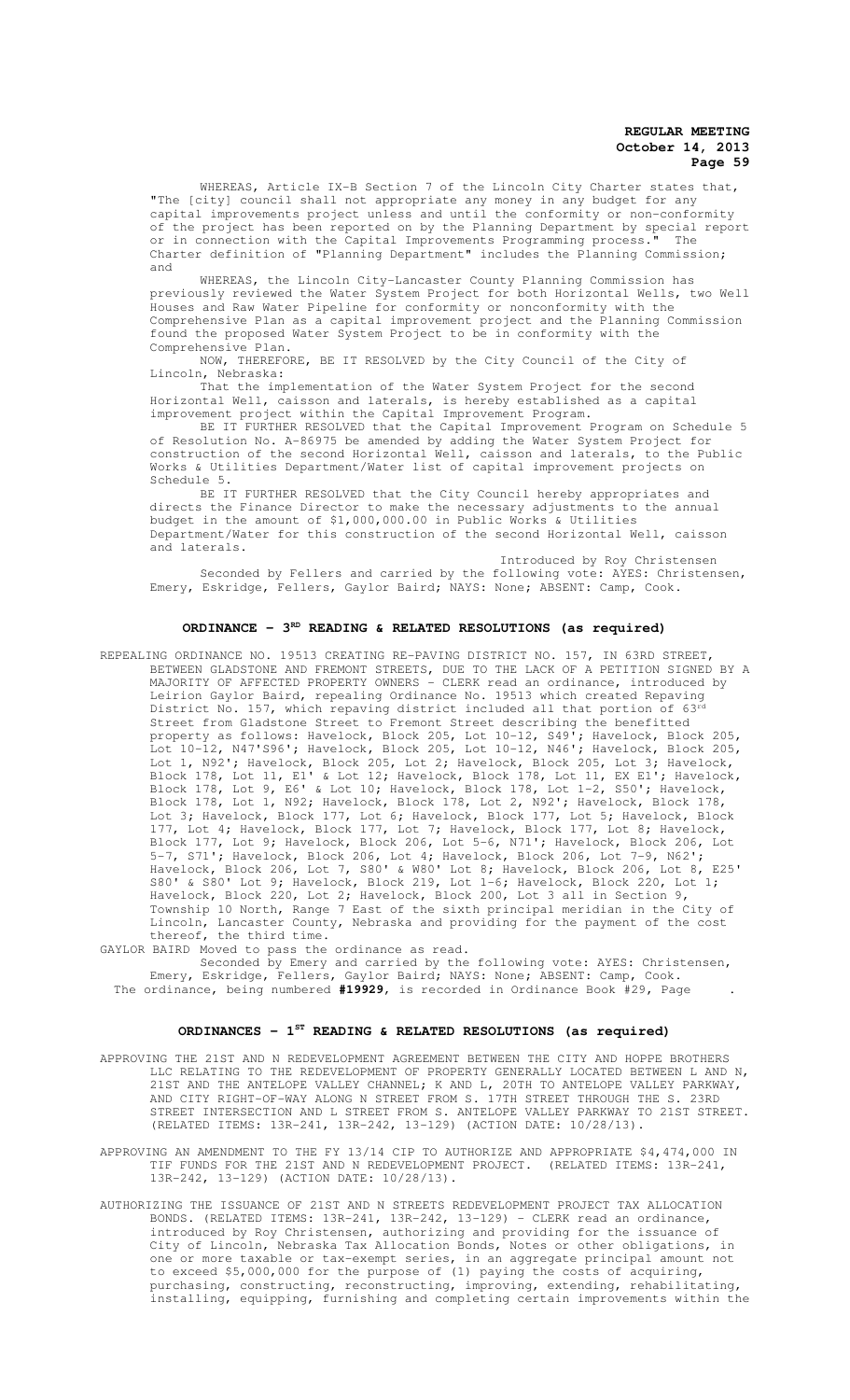WHEREAS, Article IX-B Section 7 of the Lincoln City Charter states that, "The [city] council shall not appropriate any money in any budget for any capital improvements project unless and until the conformity or non-conformity of the project has been reported on by the Planning Department by special report or in connection with the Capital Improvements Programming process." The Charter definition of "Planning Department" includes the Planning Commission; and

WHEREAS, the Lincoln City-Lancaster County Planning Commission has previously reviewed the Water System Project for both Horizontal Wells, two Well Houses and Raw Water Pipeline for conformity or nonconformity with the Comprehensive Plan as a capital improvement project and the Planning Commission found the proposed Water System Project to be in conformity with the Comprehensive Plan.

NOW, THEREFORE, BE IT RESOLVED by the City Council of the City of Lincoln, Nebraska:

That the implementation of the Water System Project for the second Horizontal Well, caisson and laterals, is hereby established as a capital improvement project within the Capital Improvement Program.

BE IT FURTHER RESOLVED that the Capital Improvement Program on Schedule 5 of Resolution No. A-86975 be amended by adding the Water System Project for construction of the second Horizontal Well, caisson and laterals, to the Public Works & Utilities Department/Water list of capital improvement projects on Schedule 5.

BE IT FURTHER RESOLVED that the City Council hereby appropriates and directs the Finance Director to make the necessary adjustments to the annual budget in the amount of \$1,000,000.00 in Public Works & Utilities Department/Water for this construction of the second Horizontal Well, caisson and laterals.

Introduced by Roy Christensen Seconded by Fellers and carried by the following vote: AYES: Christensen, Emery, Eskridge, Fellers, Gaylor Baird; NAYS: None; ABSENT: Camp, Cook.

# **ORDINANCE - 3<sup>RD</sup> READING & RELATED RESOLUTIONS (as required)**

REPEALING ORDINANCE NO. 19513 CREATING RE-PAVING DISTRICT NO. 157, IN 63RD STREET, BETWEEN GLADSTONE AND FREMONT STREETS, DUE TO THE LACK OF A PETITION SIGNED BY A MAJORITY OF AFFECTED PROPERTY OWNERS - CLERK read an ordinance, introduced by Leirion Gaylor Baird, repealing Ordinance No. 19513 which created Repaving District No. 157, which repaving district included all that portion Street from Gladstone Street to Fremont Street describing the benefitted property as follows: Havelock, Block 205, Lot 10-12, S49'; Havelock, Block 205, Lot 10-12, N47'S96'; Havelock, Block 205, Lot 10-12, N46'; Havelock, Block 205, Lot 1, N92'; Havelock, Block 205, Lot 2; Havelock, Block 205, Lot 3; Havelock, Block 178, Lot 11, E1' & Lot 12; Havelock, Block 178, Lot 11, EX E1'; Havelock, Block 178, Lot 9, E6' & Lot 10; Havelock, Block 178, Lot 1-2, S50'; Havelock, Block 178, Lot 1, N92; Havelock, Block 178, Lot 2, N92'; Havelock, Block 178, Lot 3; Havelock, Block 177, Lot 6; Havelock, Block 177, Lot 5; Havelock, Block 177, Lot 4; Havelock, Block 177, Lot 7; Havelock, Block 177, Lot 8; Havelock, Block 177, Lot 9; Havelock, Block 206, Lot 5-6, N71'; Havelock, Block 206, Lot 5-7, S71'; Havelock, Block 206, Lot 4; Havelock, Block 206, Lot 7-9, N62'; Havelock, Block 206, Lot 7, S80' & W80' Lot 8; Havelock, Block 206, Lot 8, E25' S80' & S80' Lot 9; Havelock, Block 219, Lot 1-6; Havelock, Block 220, Lot 1; Havelock, Block 220, Lot 2; Havelock, Block 200, Lot 3 all in Section 9, Township 10 North, Range 7 East of the sixth principal meridian in the City of Lincoln, Lancaster County, Nebraska and providing for the payment of the cost thereof, the third time.

GAYLOR BAIRD Moved to pass the ordinance as read.

Seconded by Emery and carried by the following vote: AYES: Christensen, Emery, Eskridge, Fellers, Gaylor Baird; NAYS: None; ABSENT: Camp, Cook. The ordinance, being numbered **#19929**, is recorded in Ordinance Book #29, Page .

#### **ORDINANCES - 1ST READING & RELATED RESOLUTIONS (as required)**

APPROVING THE 21ST AND N REDEVELOPMENT AGREEMENT BETWEEN THE CITY AND HOPPE BROTHERS LLC RELATING TO THE REDEVELOPMENT OF PROPERTY GENERALLY LOCATED BETWEEN L AND N, 21ST AND THE ANTELOPE VALLEY CHANNEL; K AND L, 20TH TO ANTELOPE VALLEY PARKWAY, AND CITY RIGHT-OF-WAY ALONG N STREET FROM S. 17TH STREET THROUGH THE S. 23RD STREET INTERSECTION AND L STREET FROM S. ANTELOPE VALLEY PARKWAY TO 21ST STREET. (RELATED ITEMS: 13R-241, 13R-242, 13-129) (ACTION DATE: 10/28/13).

APPROVING AN AMENDMENT TO THE FY 13/14 CIP TO AUTHORIZE AND APPROPRIATE \$4,474,000 IN TIF FUNDS FOR THE 21ST AND N REDEVELOPMENT PROJECT. (RELATED ITEMS: 13R-241, 13R-242, 13-129) (ACTION DATE: 10/28/13).

AUTHORIZING THE ISSUANCE OF 21ST AND N STREETS REDEVELOPMENT PROJECT TAX ALLOCATION BONDS. (RELATED ITEMS: 13R-241, 13R-242, 13-129) - CLERK read an ordinance, introduced by Roy Christensen, authorizing and providing for the issuance of City of Lincoln, Nebraska Tax Allocation Bonds, Notes or other obligations, in one or more taxable or tax-exempt series, in an aggregate principal amount not to exceed \$5,000,000 for the purpose of (1) paying the costs of acquiring, purchasing, constructing, reconstructing, improving, extending, rehabilitating, installing, equipping, furnishing and completing certain improvements within the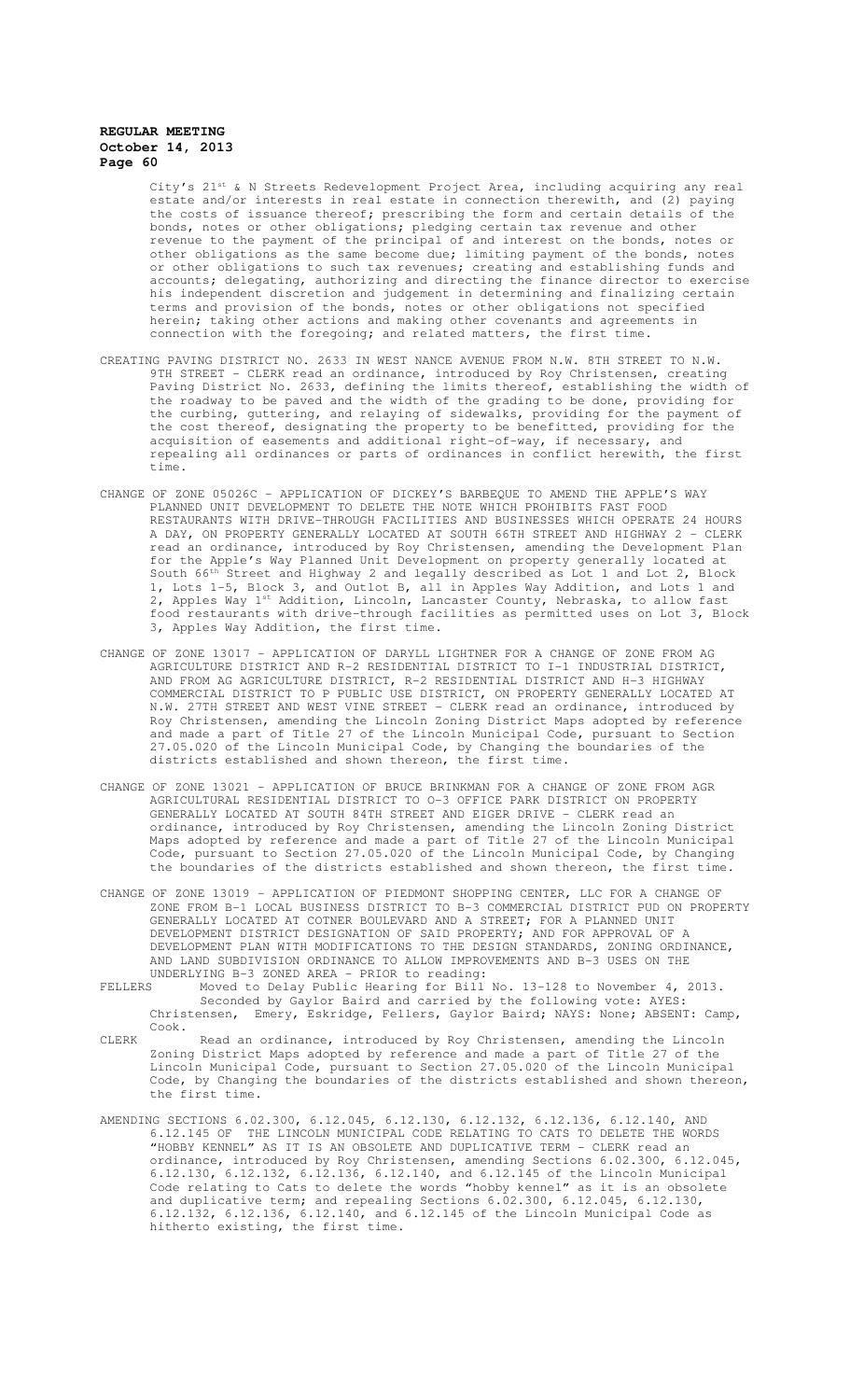City's 21<sup>st</sup> & N Streets Redevelopment Project Area, including acquiring any real estate and/or interests in real estate in connection therewith, and (2) paying the costs of issuance thereof; prescribing the form and certain details of bonds, notes or other obligations; pledging certain tax revenue and other revenue to the payment of the principal of and interest on the bonds, notes or other obligations as the same become due; limiting payment of the bonds, notes or other obligations to such tax revenues; creating and establishing funds and accounts; delegating, authorizing and directing the finance director to exercise his independent discretion and judgement in determining and finalizing certain terms and provision of the bonds, notes or other obligations not specified herein; taking other actions and making other covenants and agreements in connection with the foregoing; and related matters, the first time.

- CREATING PAVING DISTRICT NO. 2633 IN WEST NANCE AVENUE FROM N.W. 8TH STREET TO N.W. 9TH STREET - CLERK read an ordinance, introduced by Roy Christensen, creating Paving District No. 2633, defining the limits thereof, establishing the width of the roadway to be paved and the width of the grading to be done, providing for the curbing, guttering, and relaying of sidewalks, providing for the payment of the cost thereof, designating the property to be benefitted, providing for the acquisition of easements and additional right-of-way, if necessary, and repealing all ordinances or parts of ordinances in conflict herewith, the first time.
- CHANGE OF ZONE 05026C APPLICATION OF DICKEY'S BARBEQUE TO AMEND THE APPLE'S WAY PLANNED UNIT DEVELOPMENT TO DELETE THE NOTE WHICH PROHIBITS FAST FOOD RESTAURANTS WITH DRIVE-THROUGH FACILITIES AND BUSINESSES WHICH OPERATE 24 HOURS A DAY, ON PROPERTY GENERALLY LOCATED AT SOUTH 66TH STREET AND HIGHWAY 2 - CLERK read an ordinance, introduced by Roy Christensen, amending the Development Plan for the Apple's Way Planned Unit Development on property generally located at South 66<sup>th</sup> Street and Highway 2 and legally described as Lot 1 and Lot 2, Block 1, Lots 1-5, Block 3, and Outlot B, all in Apples Way Addition, and Lots 1 and 2, Apples Way 1st Addition, Lincoln, Lancaster County, Nebraska, to allow fast food restaurants with drive-through facilities as permitted uses on Lot 3, Block 3, Apples Way Addition, the first time.
- CHANGE OF ZONE 13017 APPLICATION OF DARYLL LIGHTNER FOR A CHANGE OF ZONE FROM AG AGRICULTURE DISTRICT AND R-2 RESIDENTIAL DISTRICT TO I-1 INDUSTRIAL DISTRICT, AND FROM AG AGRICULTURE DISTRICT, R-2 RESIDENTIAL DISTRICT AND H-3 HIGHWAY COMMERCIAL DISTRICT TO P PUBLIC USE DISTRICT, ON PROPERTY GENERALLY LOCATED AT N.W. 27TH STREET AND WEST VINE STREET - CLERK read an ordinance, introduced by Roy Christensen, amending the Lincoln Zoning District Maps adopted by reference and made a part of Title 27 of the Lincoln Municipal Code, pursuant to Section 27.05.020 of the Lincoln Municipal Code, by Changing the boundaries of the districts established and shown thereon, the first time.
- CHANGE OF ZONE 13021 APPLICATION OF BRUCE BRINKMAN FOR A CHANGE OF ZONE FROM AGR AGRICULTURAL RESIDENTIAL DISTRICT TO O-3 OFFICE PARK DISTRICT ON PROPERTY GENERALLY LOCATED AT SOUTH 84TH STREET AND EIGER DRIVE - CLERK read an ordinance, introduced by Roy Christensen, amending the Lincoln Zoning District Maps adopted by reference and made a part of Title 27 of the Lincoln Municipal Code, pursuant to Section 27.05.020 of the Lincoln Municipal Code, by Changing the boundaries of the districts established and shown thereon, the first time.
- CHANGE OF ZONE 13019 APPLICATION OF PIEDMONT SHOPPING CENTER, LLC FOR A CHANGE OF ZONE FROM B-1 LOCAL BUSINESS DISTRICT TO B-3 COMMERCIAL DISTRICT PUD ON PROPERTY GENERALLY LOCATED AT COTNER BOULEVARD AND A STREET; FOR A PLANNED UNIT DEVELOPMENT DISTRICT DESIGNATION OF SAID PROPERTY; AND FOR APPROVAL OF A DEVELOPMENT PLAN WITH MODIFICATIONS TO THE DESIGN STANDARDS, ZONING ORDINANCE, AND LAND SUBDIVISION ORDINANCE TO ALLOW IMPROVEMENTS AND B-3 USES ON THE UNDERLYING B-3 ZONED AREA - PRIOR to reading:
- FELLERS Moved to Delay Public Hearing for Bill No. 13-128 to November 4, 2013. Seconded by Gaylor Baird and carried by the following vote: AYES: Christensen, Emery, Eskridge, Fellers, Gaylor Baird; NAYS: None; ABSENT: Camp, Cook.
- CLERK Read an ordinance, introduced by Roy Christensen, amending the Lincoln Zoning District Maps adopted by reference and made a part of Title 27 of the Lincoln Municipal Code, pursuant to Section 27.05.020 of the Lincoln Municipal Code, by Changing the boundaries of the districts established and shown thereon, the first time.
- AMENDING SECTIONS 6.02.300, 6.12.045, 6.12.130, 6.12.132, 6.12.136, 6.12.140, AND 6.12.145 OF THE LINCOLN MUNICIPAL CODE RELATING TO CATS TO DELETE THE WORDS "HOBBY KENNEL" AS IT IS AN OBSOLETE AND DUPLICATIVE TERM - CLERK read an ordinance, introduced by Roy Christensen, amending Sections 6.02.300, 6.12.045, 6.12.130, 6.12.132, 6.12.136, 6.12.140, and 6.12.145 of the Lincoln Municipal Code relating to Cats to delete the words "hobby kennel" as it is an obsolete and duplicative term; and repealing Sections 6.02.300, 6.12.045, 6.12.130, 6.12.132, 6.12.136, 6.12.140, and 6.12.145 of the Lincoln Municipal Code as hitherto existing, the first time.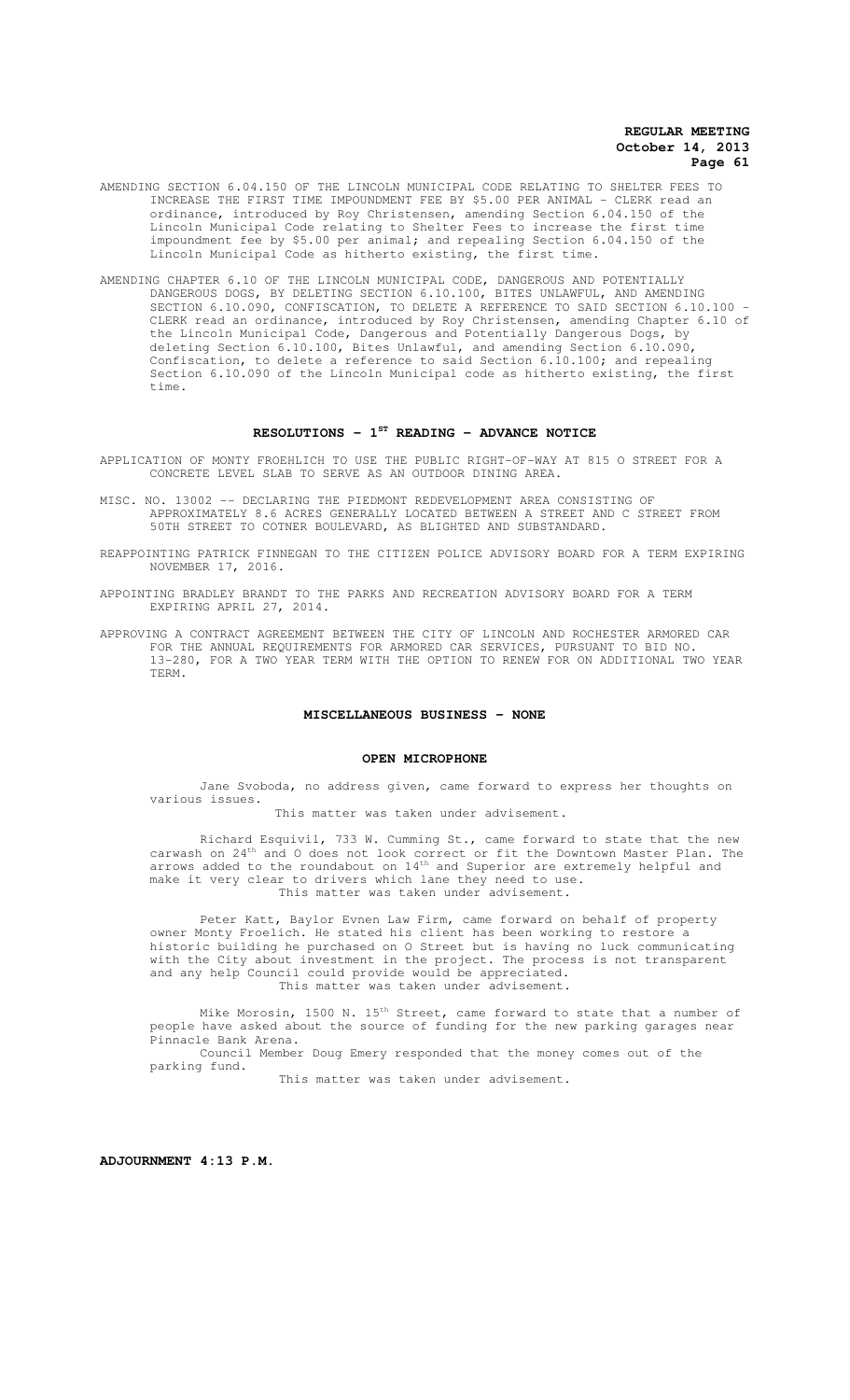- AMENDING SECTION 6.04.150 OF THE LINCOLN MUNICIPAL CODE RELATING TO SHELTER FEES TO INCREASE THE FIRST TIME IMPOUNDMENT FEE BY \$5.00 PER ANIMAL - CLERK read an ordinance, introduced by Roy Christensen, amending Section 6.04.150 of the Lincoln Municipal Code relating to Shelter Fees to increase the first time impoundment fee by \$5.00 per animal; and repealing Section 6.04.150 of the Lincoln Municipal Code as hitherto existing, the first time.
- AMENDING CHAPTER 6.10 OF THE LINCOLN MUNICIPAL CODE, DANGEROUS AND POTENTIALLY DANGEROUS DOGS, BY DELETING SECTION 6.10.100, BITES UNLAWFUL, AND AMENDING SECTION 6.10.090, CONFISCATION, TO DELETE A REFERENCE TO SAID SECTION 6.10.100 -CLERK read an ordinance, introduced by Roy Christensen, amending Chapter 6.10 of the Lincoln Municipal Code, Dangerous and Potentially Dangerous Dogs, by deleting Section 6.10.100, Bites Unlawful, and amending Section 6.10.090, Confiscation, to delete a reference to said Section 6.10.100; and repealing Section 6.10.090 of the Lincoln Municipal code as hitherto existing, the first time.

#### **RESOLUTIONS - 1ST READING - ADVANCE NOTICE**

APPLICATION OF MONTY FROEHLICH TO USE THE PUBLIC RIGHT-OF-WAY AT 815 O STREET FOR A CONCRETE LEVEL SLAB TO SERVE AS AN OUTDOOR DINING AREA.

- MISC. NO. 13002 -- DECLARING THE PIEDMONT REDEVELOPMENT AREA CONSISTING OF APPROXIMATELY 8.6 ACRES GENERALLY LOCATED BETWEEN A STREET AND C STREET FROM 50TH STREET TO COTNER BOULEVARD, AS BLIGHTED AND SUBSTANDARD.
- REAPPOINTING PATRICK FINNEGAN TO THE CITIZEN POLICE ADVISORY BOARD FOR A TERM EXPIRING NOVEMBER 17, 2016.
- APPOINTING BRADLEY BRANDT TO THE PARKS AND RECREATION ADVISORY BOARD FOR A TERM EXPIRING APRIL 27, 2014.
- APPROVING A CONTRACT AGREEMENT BETWEEN THE CITY OF LINCOLN AND ROCHESTER ARMORED CAR FOR THE ANNUAL REQUIREMENTS FOR ARMORED CAR SERVICES, PURSUANT TO BID NO. 13-280, FOR A TWO YEAR TERM WITH THE OPTION TO RENEW FOR ON ADDITIONAL TWO YEAR TERM.

## **MISCELLANEOUS BUSINESS - NONE**

#### **OPEN MICROPHONE**

Jane Svoboda, no address given, came forward to express her thoughts on various issues.

This matter was taken under advisement.

Richard Esquivil, 733 W. Cumming St., came forward to state that the new carwash on 24<sup>th</sup> and O does not look correct or fit the Downtown Master Plan. The arrows added to the roundabout on  $14^{\text{th}}$  and Superior are extremely helpful and make it very clear to drivers which lane they need to use. This matter was taken under advisement.

Peter Katt, Baylor Evnen Law Firm, came forward on behalf of property owner Monty Froelich. He stated his client has been working to restore a historic building he purchased on O Street but is having no luck communicating with the City about investment in the project. The process is not transparent and any help Council could provide would be appreciated. This matter was taken under advisement.

Mike Morosin, 1500 N. 15<sup>th</sup> Street, came forward to state that a number of people have asked about the source of funding for the new parking garages near Pinnacle Bank Arena. Council Member Doug Emery responded that the money comes out of the parking fund.

This matter was taken under advisement.

**ADJOURNMENT 4:13 P.M.**